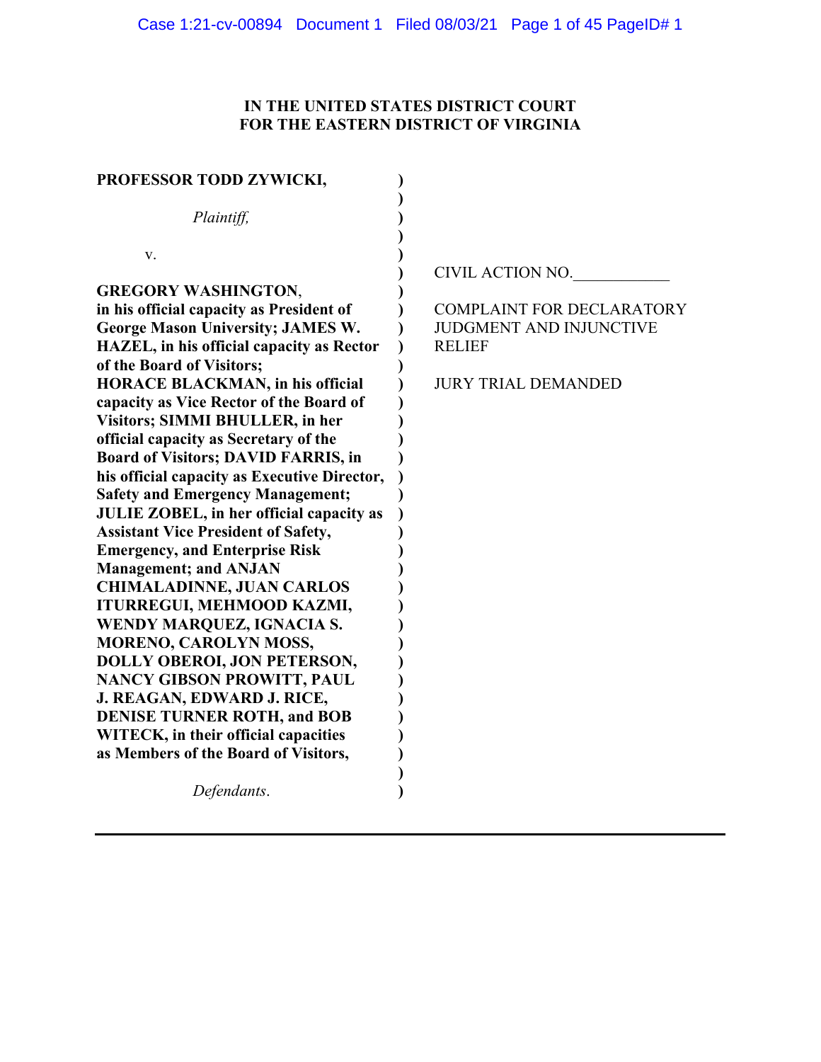# **IN THE UNITED STATES DISTRICT COURT FOR THE EASTERN DISTRICT OF VIRGINIA**

| PROFESSOR TODD ZYWICKI,                                                                                                                                                                                                                                                                                                                                                                                                        |                                                                                                                   |
|--------------------------------------------------------------------------------------------------------------------------------------------------------------------------------------------------------------------------------------------------------------------------------------------------------------------------------------------------------------------------------------------------------------------------------|-------------------------------------------------------------------------------------------------------------------|
| Plaintiff,                                                                                                                                                                                                                                                                                                                                                                                                                     |                                                                                                                   |
| V.<br><b>GREGORY WASHINGTON,</b>                                                                                                                                                                                                                                                                                                                                                                                               | CIVIL ACTION NO.                                                                                                  |
| in his official capacity as President of<br><b>George Mason University; JAMES W.</b><br>HAZEL, in his official capacity as Rector<br>of the Board of Visitors;<br><b>HORACE BLACKMAN, in his official</b><br>capacity as Vice Rector of the Board of<br>Visitors; SIMMI BHULLER, in her<br>official capacity as Secretary of the<br><b>Board of Visitors; DAVID FARRIS, in</b><br>his official capacity as Executive Director, | <b>COMPLAINT FOR DECLARATORY</b><br><b>JUDGMENT AND INJUNCTIVE</b><br><b>RELIEF</b><br><b>JURY TRIAL DEMANDED</b> |
| <b>Safety and Emergency Management;</b><br>JULIE ZOBEL, in her official capacity as<br><b>Assistant Vice President of Safety,</b><br><b>Emergency, and Enterprise Risk</b><br><b>Management; and ANJAN</b><br><b>CHIMALADINNE, JUAN CARLOS</b><br>ITURREGUI, MEHMOOD KAZMI,                                                                                                                                                    |                                                                                                                   |
| <b>WENDY MARQUEZ, IGNACIA S.</b><br>MORENO, CAROLYN MOSS,<br>DOLLY OBEROI, JON PETERSON,<br><b>NANCY GIBSON PROWITT, PAUL</b><br>J. REAGAN, EDWARD J. RICE,<br><b>DENISE TURNER ROTH, and BOB</b><br>WITECK, in their official capacities<br>as Members of the Board of Visitors,                                                                                                                                              |                                                                                                                   |
| Defendants.                                                                                                                                                                                                                                                                                                                                                                                                                    |                                                                                                                   |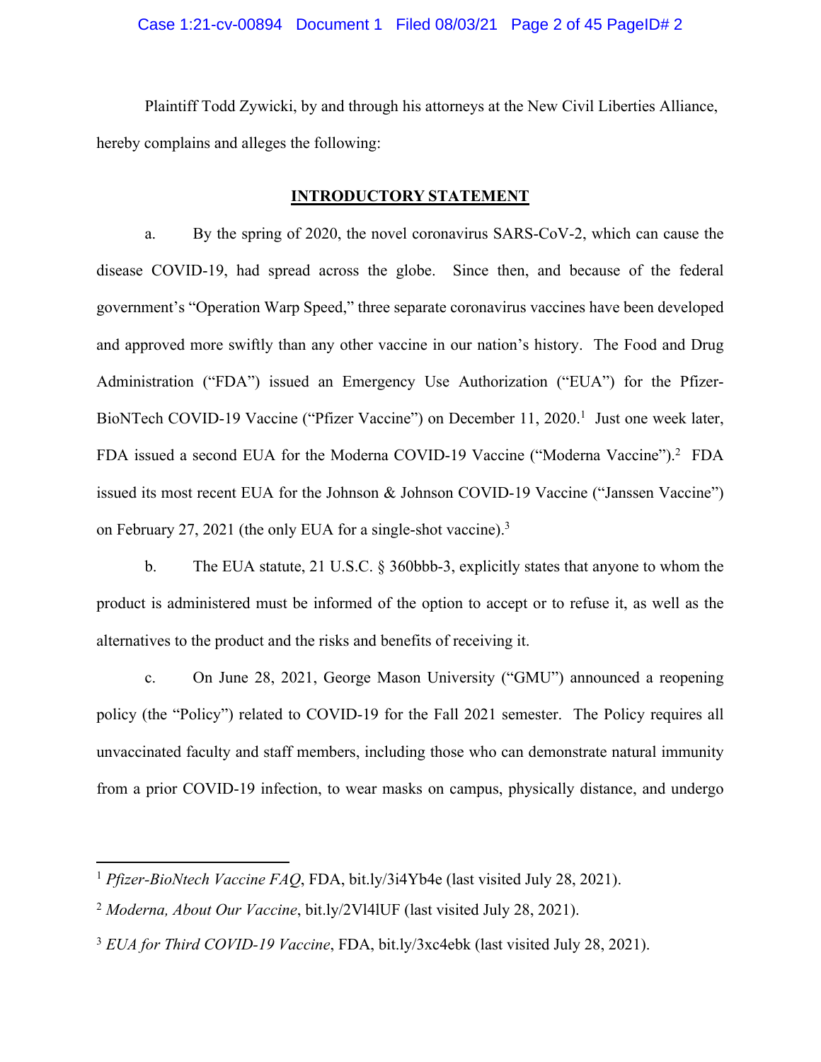# Case 1:21-cv-00894 Document 1 Filed 08/03/21 Page 2 of 45 PageID# 2

 Plaintiff Todd Zywicki, by and through his attorneys at the New Civil Liberties Alliance, hereby complains and alleges the following:

# **INTRODUCTORY STATEMENT**

a. By the spring of 2020, the novel coronavirus SARS-CoV-2, which can cause the disease COVID-19, had spread across the globe. Since then, and because of the federal government's "Operation Warp Speed," three separate coronavirus vaccines have been developed and approved more swiftly than any other vaccine in our nation's history. The Food and Drug Administration ("FDA") issued an Emergency Use Authorization ("EUA") for the Pfizer-BioNTech COVID-19 Vaccine ("Pfizer Vaccine") on December 11, 2020.<sup>1</sup> Just one week later, FDA issued a second EUA for the Moderna COVID-19 Vaccine ("Moderna Vaccine").<sup>2</sup> FDA issued its most recent EUA for the Johnson & Johnson COVID-19 Vaccine ("Janssen Vaccine") on February 27, 2021 (the only EUA for a single-shot vaccine).<sup>3</sup>

b. The EUA statute, 21 U.S.C. § 360bbb-3, explicitly states that anyone to whom the product is administered must be informed of the option to accept or to refuse it, as well as the alternatives to the product and the risks and benefits of receiving it.

c. On June 28, 2021, George Mason University ("GMU") announced a reopening policy (the "Policy") related to COVID-19 for the Fall 2021 semester. The Policy requires all unvaccinated faculty and staff members, including those who can demonstrate natural immunity from a prior COVID-19 infection, to wear masks on campus, physically distance, and undergo

<sup>1</sup> *Pfizer-BioNtech Vaccine FAQ*, FDA, bit.ly/3i4Yb4e (last visited July 28, 2021).

<sup>2</sup>  *Moderna, About Our Vaccine*, bit.ly/2Vl4lUF (last visited July 28, 2021).

<sup>3</sup> *EUA for Third COVID-19 Vaccine*, FDA, bit.ly/3xc4ebk (last visited July 28, 2021).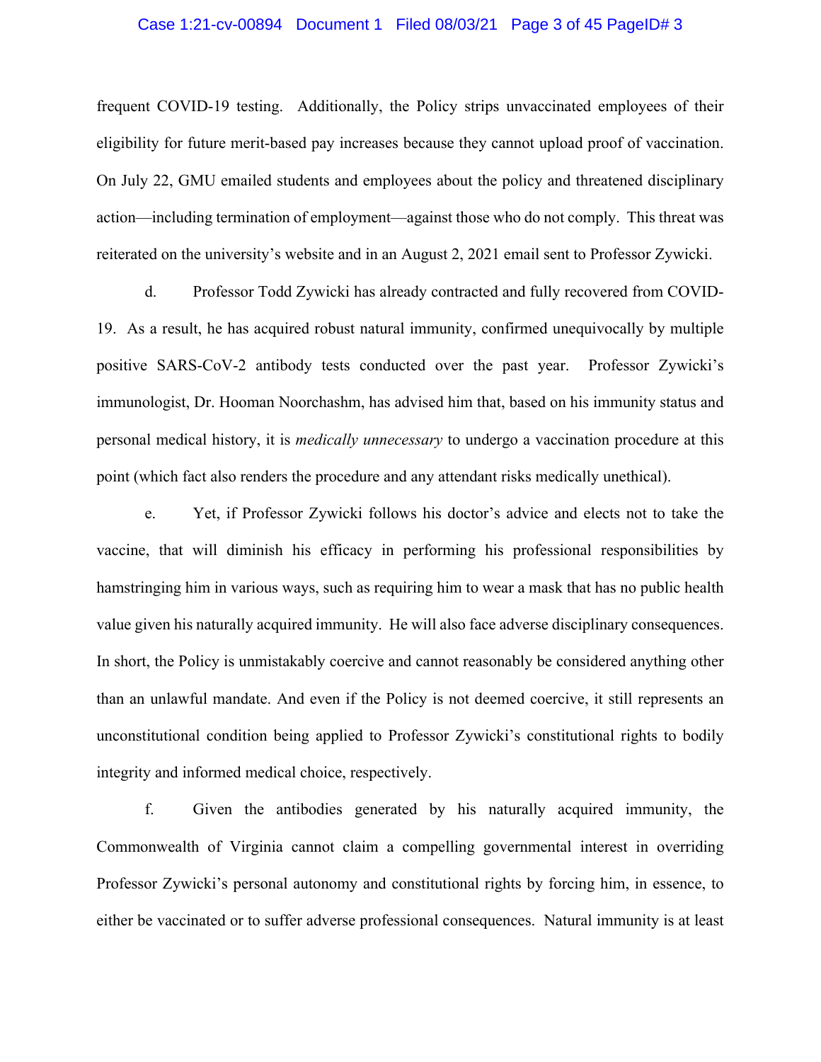# Case 1:21-cv-00894 Document 1 Filed 08/03/21 Page 3 of 45 PageID# 3

frequent COVID-19 testing. Additionally, the Policy strips unvaccinated employees of their eligibility for future merit-based pay increases because they cannot upload proof of vaccination. On July 22, GMU emailed students and employees about the policy and threatened disciplinary action—including termination of employment—against those who do not comply. This threat was reiterated on the university's website and in an August 2, 2021 email sent to Professor Zywicki.

d. Professor Todd Zywicki has already contracted and fully recovered from COVID-19. As a result, he has acquired robust natural immunity, confirmed unequivocally by multiple positive SARS-CoV-2 antibody tests conducted over the past year. Professor Zywicki's immunologist, Dr. Hooman Noorchashm, has advised him that, based on his immunity status and personal medical history, it is *medically unnecessary* to undergo a vaccination procedure at this point (which fact also renders the procedure and any attendant risks medically unethical).

e. Yet, if Professor Zywicki follows his doctor's advice and elects not to take the vaccine, that will diminish his efficacy in performing his professional responsibilities by hamstringing him in various ways, such as requiring him to wear a mask that has no public health value given his naturally acquired immunity. He will also face adverse disciplinary consequences. In short, the Policy is unmistakably coercive and cannot reasonably be considered anything other than an unlawful mandate. And even if the Policy is not deemed coercive, it still represents an unconstitutional condition being applied to Professor Zywicki's constitutional rights to bodily integrity and informed medical choice, respectively.

f. Given the antibodies generated by his naturally acquired immunity, the Commonwealth of Virginia cannot claim a compelling governmental interest in overriding Professor Zywicki's personal autonomy and constitutional rights by forcing him, in essence, to either be vaccinated or to suffer adverse professional consequences. Natural immunity is at least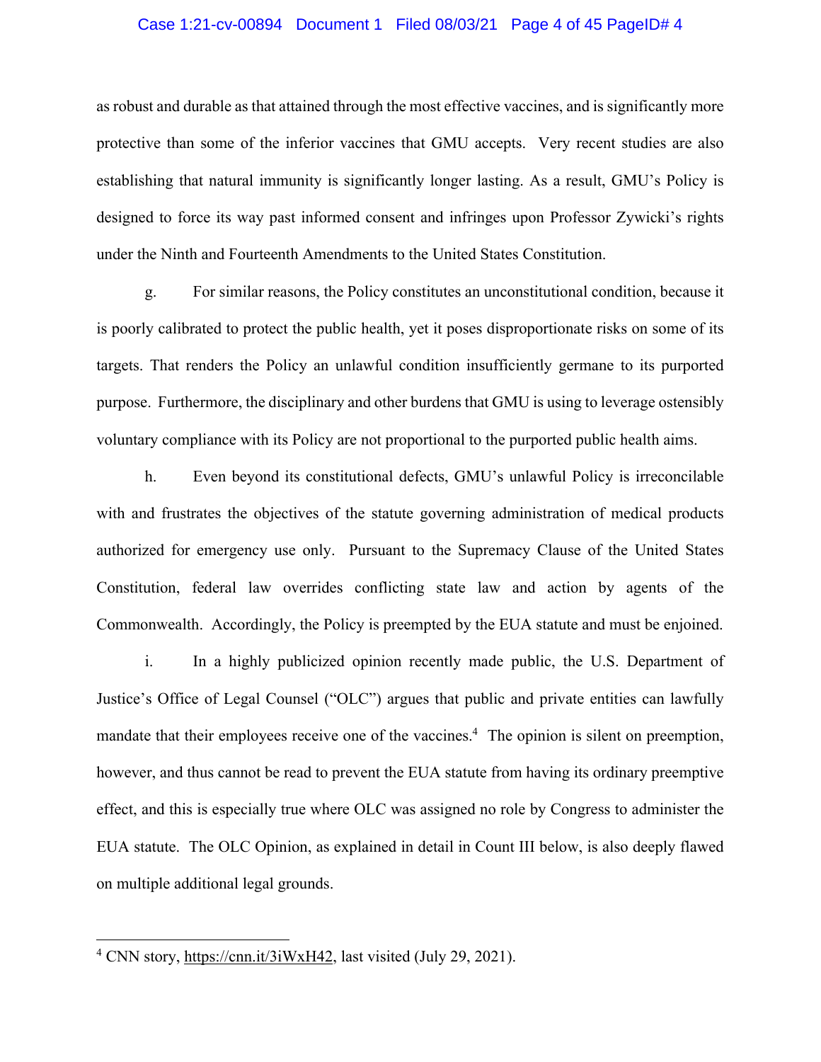# Case 1:21-cv-00894 Document 1 Filed 08/03/21 Page 4 of 45 PageID# 4

as robust and durable as that attained through the most effective vaccines, and is significantly more protective than some of the inferior vaccines that GMU accepts. Very recent studies are also establishing that natural immunity is significantly longer lasting. As a result, GMU's Policy is designed to force its way past informed consent and infringes upon Professor Zywicki's rights under the Ninth and Fourteenth Amendments to the United States Constitution.

g. For similar reasons, the Policy constitutes an unconstitutional condition, because it is poorly calibrated to protect the public health, yet it poses disproportionate risks on some of its targets. That renders the Policy an unlawful condition insufficiently germane to its purported purpose. Furthermore, the disciplinary and other burdens that GMU is using to leverage ostensibly voluntary compliance with its Policy are not proportional to the purported public health aims.

h. Even beyond its constitutional defects, GMU's unlawful Policy is irreconcilable with and frustrates the objectives of the statute governing administration of medical products authorized for emergency use only. Pursuant to the Supremacy Clause of the United States Constitution, federal law overrides conflicting state law and action by agents of the Commonwealth. Accordingly, the Policy is preempted by the EUA statute and must be enjoined.

i. In a highly publicized opinion recently made public, the U.S. Department of Justice's Office of Legal Counsel ("OLC") argues that public and private entities can lawfully mandate that their employees receive one of the vaccines.<sup>4</sup> The opinion is silent on preemption, however, and thus cannot be read to prevent the EUA statute from having its ordinary preemptive effect, and this is especially true where OLC was assigned no role by Congress to administer the EUA statute. The OLC Opinion, as explained in detail in Count III below, is also deeply flawed on multiple additional legal grounds.

<sup>&</sup>lt;sup>4</sup> CNN story, https://cnn.it/3iWxH42, last visited (July 29, 2021).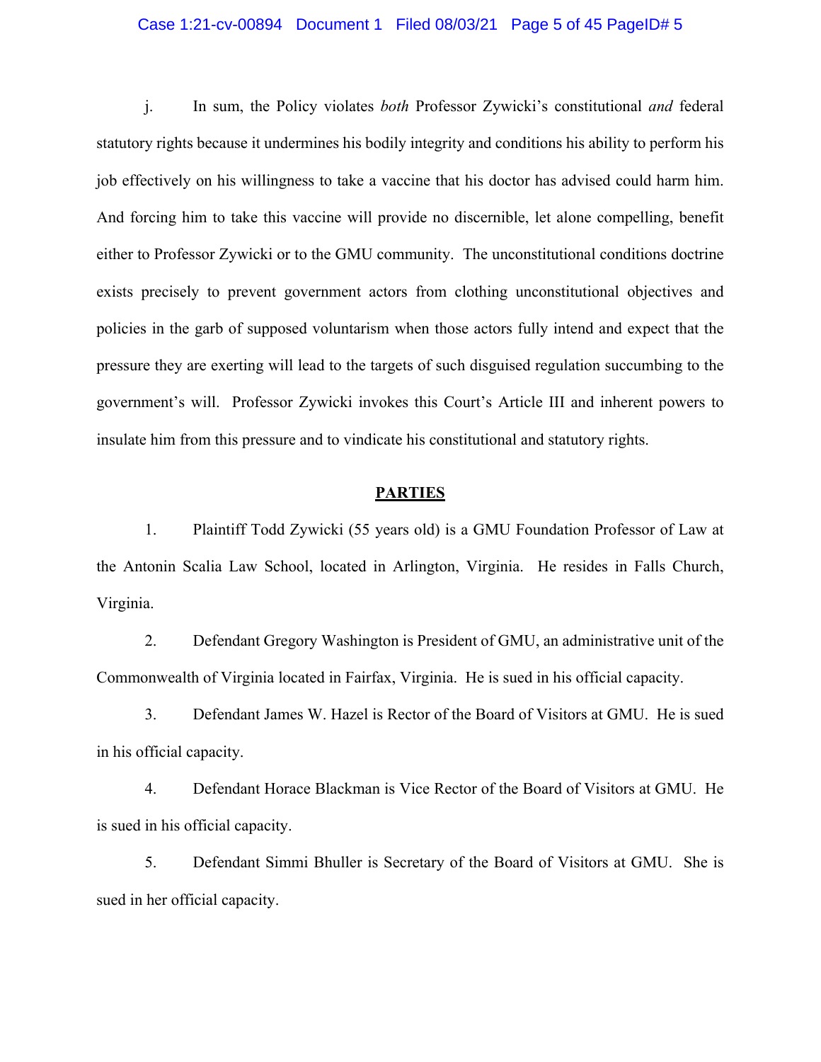# Case 1:21-cv-00894 Document 1 Filed 08/03/21 Page 5 of 45 PageID# 5

j. In sum, the Policy violates *both* Professor Zywicki's constitutional *and* federal statutory rights because it undermines his bodily integrity and conditions his ability to perform his job effectively on his willingness to take a vaccine that his doctor has advised could harm him. And forcing him to take this vaccine will provide no discernible, let alone compelling, benefit either to Professor Zywicki or to the GMU community. The unconstitutional conditions doctrine exists precisely to prevent government actors from clothing unconstitutional objectives and policies in the garb of supposed voluntarism when those actors fully intend and expect that the pressure they are exerting will lead to the targets of such disguised regulation succumbing to the government's will. Professor Zywicki invokes this Court's Article III and inherent powers to insulate him from this pressure and to vindicate his constitutional and statutory rights.

#### **PARTIES**

1. Plaintiff Todd Zywicki (55 years old) is a GMU Foundation Professor of Law at the Antonin Scalia Law School, located in Arlington, Virginia. He resides in Falls Church, Virginia.

2. Defendant Gregory Washington is President of GMU, an administrative unit of the Commonwealth of Virginia located in Fairfax, Virginia. He is sued in his official capacity.

3. Defendant James W. Hazel is Rector of the Board of Visitors at GMU. He is sued in his official capacity.

4. Defendant Horace Blackman is Vice Rector of the Board of Visitors at GMU. He is sued in his official capacity.

5. Defendant Simmi Bhuller is Secretary of the Board of Visitors at GMU. She is sued in her official capacity.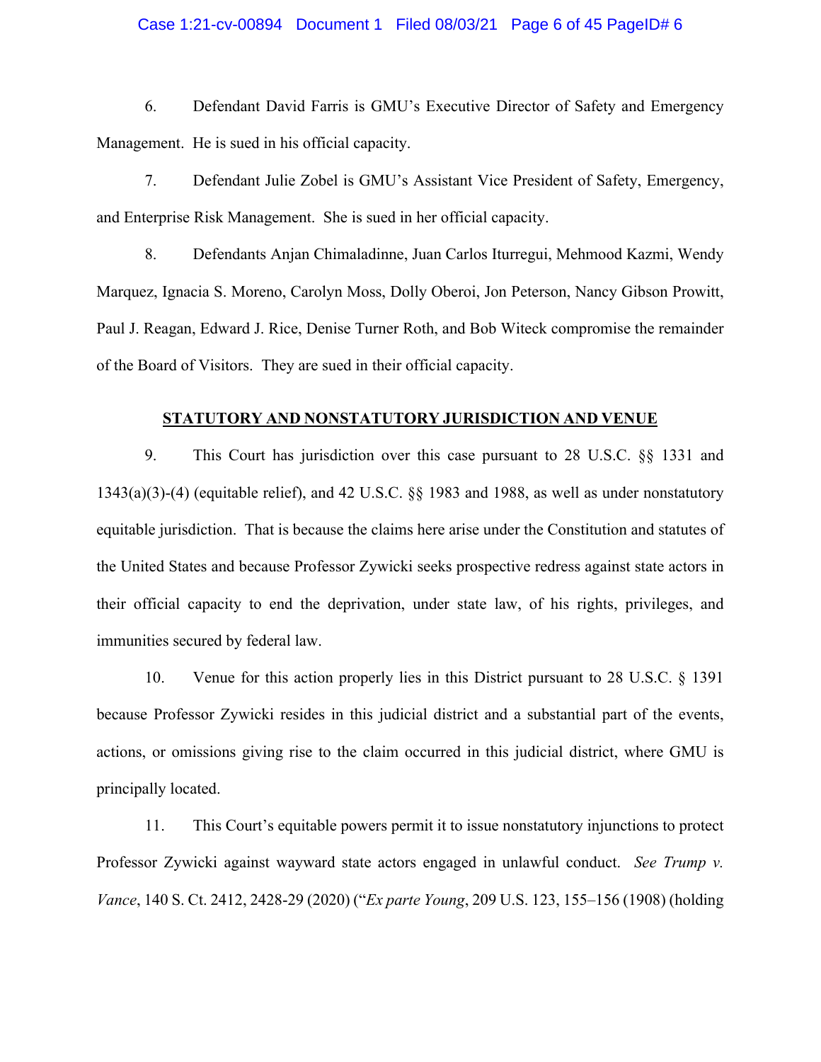# Case 1:21-cv-00894 Document 1 Filed 08/03/21 Page 6 of 45 PageID# 6

6. Defendant David Farris is GMU's Executive Director of Safety and Emergency Management. He is sued in his official capacity.

7. Defendant Julie Zobel is GMU's Assistant Vice President of Safety, Emergency, and Enterprise Risk Management. She is sued in her official capacity.

8. Defendants Anjan Chimaladinne, Juan Carlos Iturregui, Mehmood Kazmi, Wendy Marquez, Ignacia S. Moreno, Carolyn Moss, Dolly Oberoi, Jon Peterson, Nancy Gibson Prowitt, Paul J. Reagan, Edward J. Rice, Denise Turner Roth, and Bob Witeck compromise the remainder of the Board of Visitors. They are sued in their official capacity.

#### **STATUTORY AND NONSTATUTORY JURISDICTION AND VENUE**

9. This Court has jurisdiction over this case pursuant to 28 U.S.C. §§ 1331 and 1343(a)(3)-(4) (equitable relief), and 42 U.S.C. §§ 1983 and 1988, as well as under nonstatutory equitable jurisdiction. That is because the claims here arise under the Constitution and statutes of the United States and because Professor Zywicki seeks prospective redress against state actors in their official capacity to end the deprivation, under state law, of his rights, privileges, and immunities secured by federal law.

10. Venue for this action properly lies in this District pursuant to 28 U.S.C. § 1391 because Professor Zywicki resides in this judicial district and a substantial part of the events, actions, or omissions giving rise to the claim occurred in this judicial district, where GMU is principally located.

11. This Court's equitable powers permit it to issue nonstatutory injunctions to protect Professor Zywicki against wayward state actors engaged in unlawful conduct. *See Trump v. Vance*, 140 S. Ct. 2412, 2428-29 (2020) ("*Ex parte Young*, 209 U.S. 123, 155–156 (1908) (holding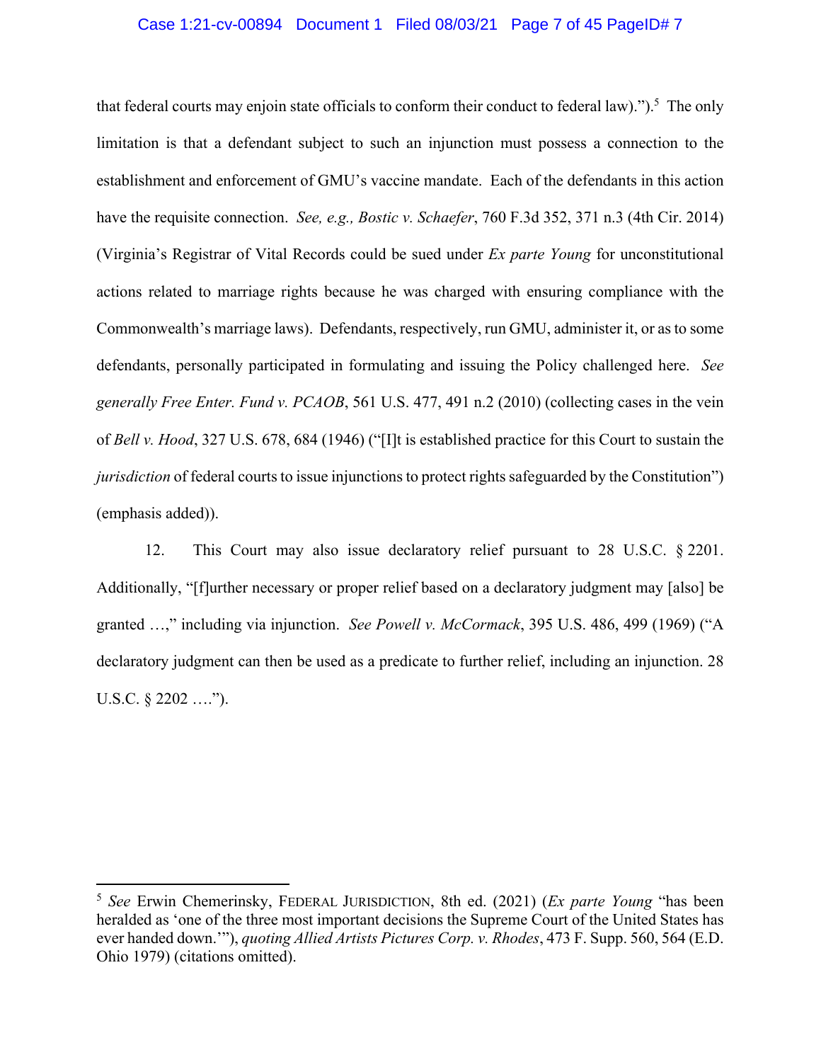# Case 1:21-cv-00894 Document 1 Filed 08/03/21 Page 7 of 45 PageID# 7

that federal courts may enjoin state officials to conform their conduct to federal law).").<sup>5</sup> The only limitation is that a defendant subject to such an injunction must possess a connection to the establishment and enforcement of GMU's vaccine mandate. Each of the defendants in this action have the requisite connection. *See, e.g., Bostic v. Schaefer*, 760 F.3d 352, 371 n.3 (4th Cir. 2014) (Virginia's Registrar of Vital Records could be sued under *Ex parte Young* for unconstitutional actions related to marriage rights because he was charged with ensuring compliance with the Commonwealth's marriage laws). Defendants, respectively, run GMU, administer it, or as to some defendants, personally participated in formulating and issuing the Policy challenged here. *See generally Free Enter. Fund v. PCAOB*, 561 U.S. 477, 491 n.2 (2010) (collecting cases in the vein of *Bell v. Hood*, 327 U.S. 678, 684 (1946) ("[I]t is established practice for this Court to sustain the *jurisdiction* of federal courts to issue injunctions to protect rights safeguarded by the Constitution") (emphasis added)).

12. This Court may also issue declaratory relief pursuant to 28 U.S.C. § 2201. Additionally, "[f]urther necessary or proper relief based on a declaratory judgment may [also] be granted …," including via injunction. *See Powell v. McCormack*, 395 U.S. 486, 499 (1969) ("A declaratory judgment can then be used as a predicate to further relief, including an injunction. 28 U.S.C. § 2202 ….").

<sup>5</sup> *See* Erwin Chemerinsky, FEDERAL JURISDICTION, 8th ed. (2021) (*Ex parte Young* "has been heralded as 'one of the three most important decisions the Supreme Court of the United States has ever handed down.'"), *quoting Allied Artists Pictures Corp. v. Rhodes*, 473 F. Supp. 560, 564 (E.D. Ohio 1979) (citations omitted).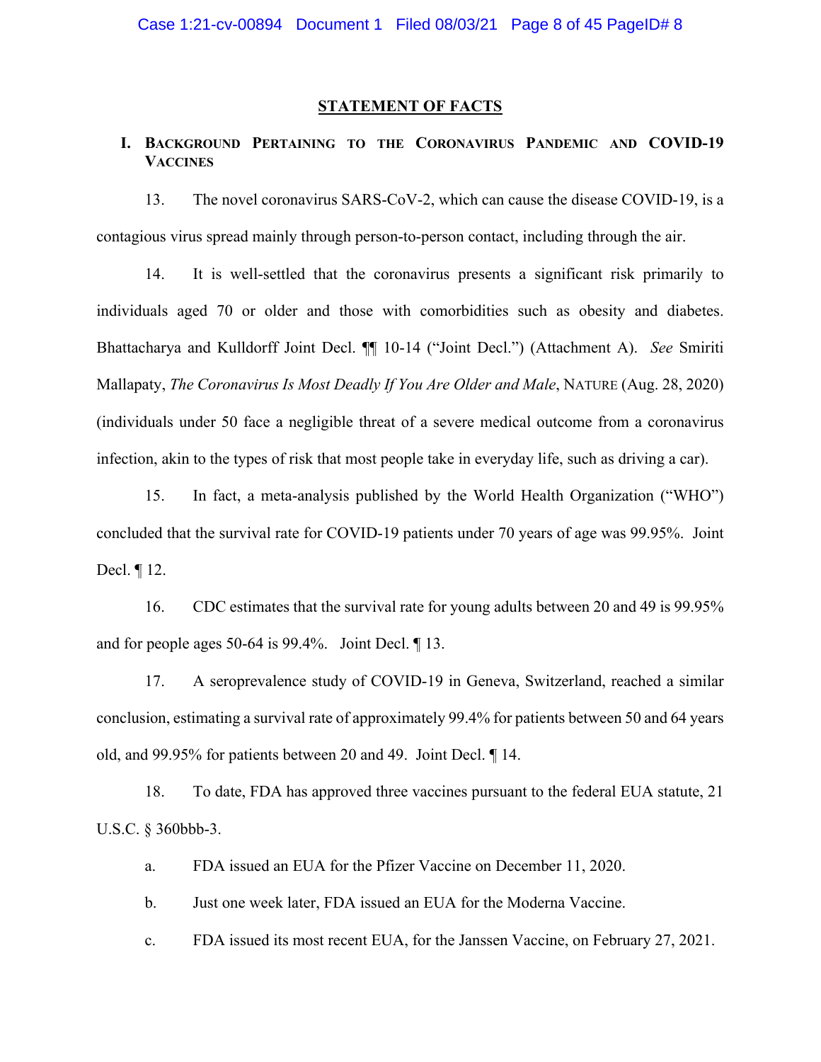# **STATEMENT OF FACTS**

# **I. BACKGROUND PERTAINING TO THE CORONAVIRUS PANDEMIC AND COVID-19 VACCINES**

13. The novel coronavirus SARS-CoV-2, which can cause the disease COVID-19, is a contagious virus spread mainly through person-to-person contact, including through the air.

14. It is well-settled that the coronavirus presents a significant risk primarily to individuals aged 70 or older and those with comorbidities such as obesity and diabetes. Bhattacharya and Kulldorff Joint Decl. ¶¶ 10-14 ("Joint Decl.") (Attachment A). *See* Smiriti Mallapaty, *The Coronavirus Is Most Deadly If You Are Older and Male*, NATURE (Aug. 28, 2020) (individuals under 50 face a negligible threat of a severe medical outcome from a coronavirus infection, akin to the types of risk that most people take in everyday life, such as driving a car).

15. In fact, a meta-analysis published by the World Health Organization ("WHO") concluded that the survival rate for COVID-19 patients under 70 years of age was 99.95%. Joint Decl. ¶ 12.

16. CDC estimates that the survival rate for young adults between 20 and 49 is 99.95% and for people ages 50-64 is 99.4%. Joint Decl. ¶ 13.

17. A seroprevalence study of COVID-19 in Geneva, Switzerland, reached a similar conclusion, estimating a survival rate of approximately 99.4% for patients between 50 and 64 years old, and 99.95% for patients between 20 and 49. Joint Decl. ¶ 14.

18. To date, FDA has approved three vaccines pursuant to the federal EUA statute, 21 U.S.C. § 360bbb-3.

a. FDA issued an EUA for the Pfizer Vaccine on December 11, 2020.

b. Just one week later, FDA issued an EUA for the Moderna Vaccine.

c. FDA issued its most recent EUA, for the Janssen Vaccine, on February 27, 2021.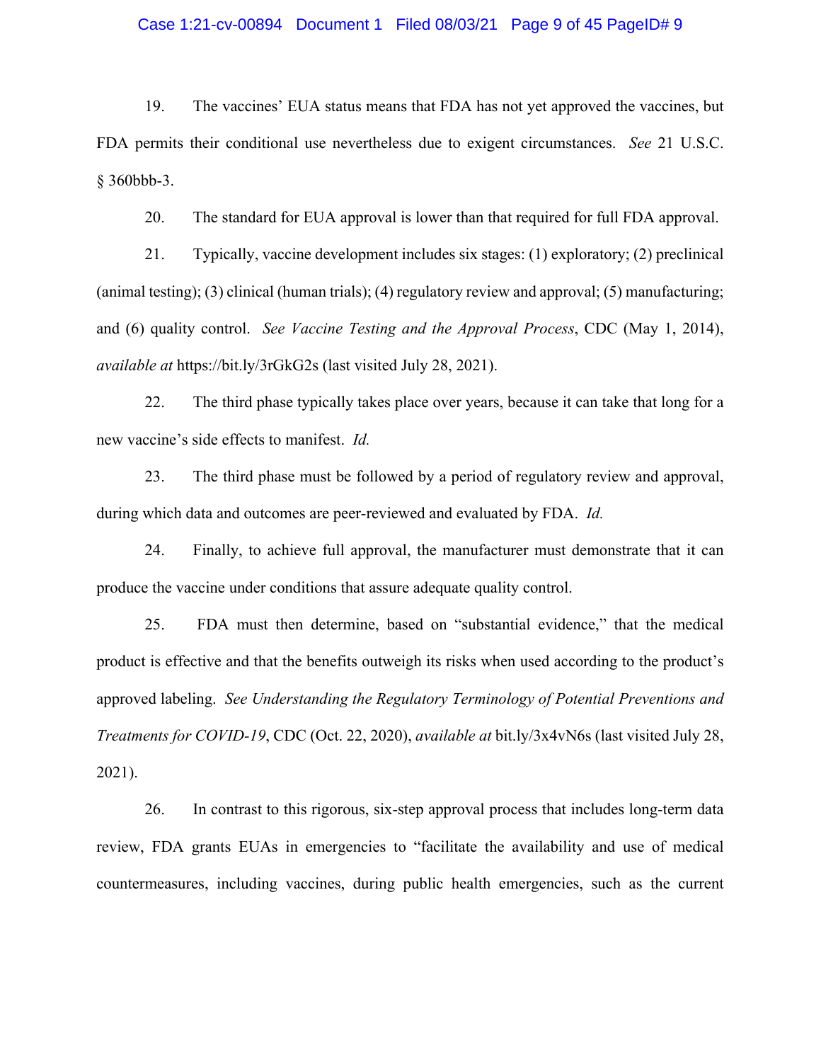# Case 1:21-cv-00894 Document 1 Filed 08/03/21 Page 9 of 45 PageID# 9

19. The vaccines' EUA status means that FDA has not yet approved the vaccines, but FDA permits their conditional use nevertheless due to exigent circumstances. *See* 21 U.S.C. § 360bbb-3.

20. The standard for EUA approval is lower than that required for full FDA approval.

21. Typically, vaccine development includes six stages: (1) exploratory; (2) preclinical (animal testing); (3) clinical (human trials); (4) regulatory review and approval; (5) manufacturing; and (6) quality control. *See Vaccine Testing and the Approval Process*, CDC (May 1, 2014), *available at* https://bit.ly/3rGkG2s (last visited July 28, 2021).

22. The third phase typically takes place over years, because it can take that long for a new vaccine's side effects to manifest. *Id.*

23. The third phase must be followed by a period of regulatory review and approval, during which data and outcomes are peer-reviewed and evaluated by FDA. *Id.*

24. Finally, to achieve full approval, the manufacturer must demonstrate that it can produce the vaccine under conditions that assure adequate quality control.

25. FDA must then determine, based on "substantial evidence," that the medical product is effective and that the benefits outweigh its risks when used according to the product's approved labeling. *See Understanding the Regulatory Terminology of Potential Preventions and Treatments for COVID-19*, CDC (Oct. 22, 2020), *available at* bit.ly/3x4vN6s (last visited July 28, 2021).

26. In contrast to this rigorous, six-step approval process that includes long-term data review, FDA grants EUAs in emergencies to "facilitate the availability and use of medical countermeasures, including vaccines, during public health emergencies, such as the current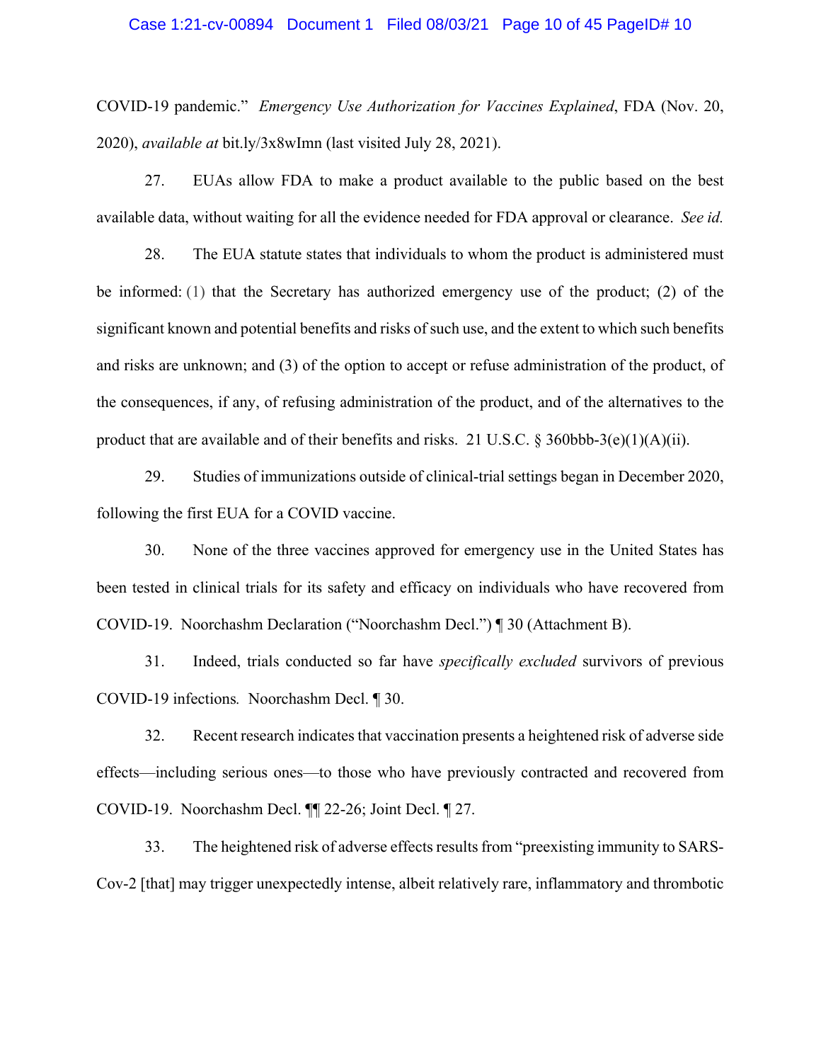#### Case 1:21-cv-00894 Document 1 Filed 08/03/21 Page 10 of 45 PageID# 10

COVID-19 pandemic." *Emergency Use Authorization for Vaccines Explained*, FDA (Nov. 20, 2020), *available at* bit.ly/3x8wImn (last visited July 28, 2021).

27. EUAs allow FDA to make a product available to the public based on the best available data, without waiting for all the evidence needed for FDA approval or clearance. *See id.*

28. The EUA statute states that individuals to whom the product is administered must be informed: (1) that the Secretary has authorized emergency use of the product; (2) of the significant known and potential benefits and risks of such use, and the extent to which such benefits and risks are unknown; and (3) of the option to accept or refuse administration of the product, of the consequences, if any, of refusing administration of the product, and of the alternatives to the product that are available and of their benefits and risks. 21 U.S.C.  $\S 360bbb-3(e)(1)(A)(ii)$ .

29. Studies of immunizations outside of clinical-trial settings began in December 2020, following the first EUA for a COVID vaccine.

30. None of the three vaccines approved for emergency use in the United States has been tested in clinical trials for its safety and efficacy on individuals who have recovered from COVID-19. Noorchashm Declaration ("Noorchashm Decl.") ¶ 30 (Attachment B).

31. Indeed, trials conducted so far have *specifically excluded* survivors of previous COVID-19 infections*.* Noorchashm Decl. ¶ 30.

32. Recent research indicates that vaccination presents a heightened risk of adverse side effects—including serious ones—to those who have previously contracted and recovered from COVID-19. Noorchashm Decl. ¶¶ 22-26; Joint Decl. ¶ 27.

33. The heightened risk of adverse effects results from "preexisting immunity to SARS-Cov-2 [that] may trigger unexpectedly intense, albeit relatively rare, inflammatory and thrombotic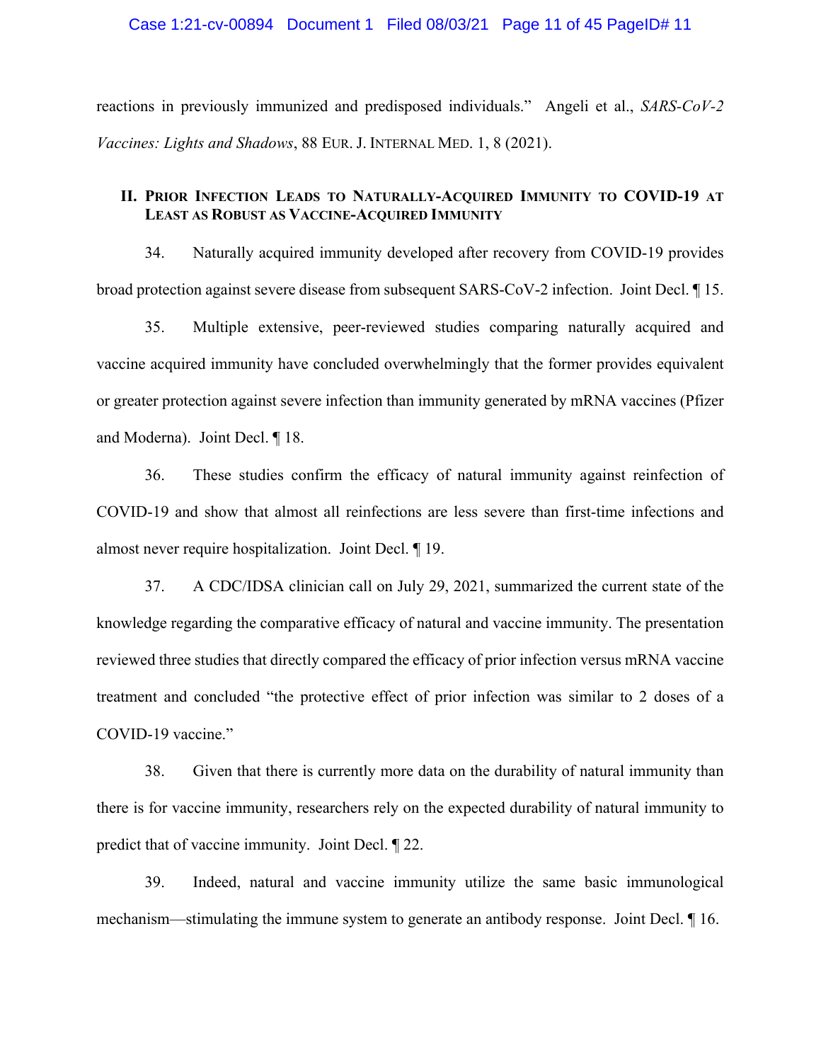### Case 1:21-cv-00894 Document 1 Filed 08/03/21 Page 11 of 45 PageID# 11

reactions in previously immunized and predisposed individuals." Angeli et al., *SARS-CoV-2 Vaccines: Lights and Shadows*, 88 EUR. J. INTERNAL MED. 1, 8 (2021).

# **II. PRIOR INFECTION LEADS TO NATURALLY-ACQUIRED IMMUNITY TO COVID-19 AT LEAST AS ROBUST AS VACCINE-ACQUIRED IMMUNITY**

34. Naturally acquired immunity developed after recovery from COVID-19 provides broad protection against severe disease from subsequent SARS-CoV-2 infection. Joint Decl. ¶ 15.

35. Multiple extensive, peer-reviewed studies comparing naturally acquired and vaccine acquired immunity have concluded overwhelmingly that the former provides equivalent or greater protection against severe infection than immunity generated by mRNA vaccines (Pfizer and Moderna). Joint Decl. ¶ 18.

36. These studies confirm the efficacy of natural immunity against reinfection of COVID-19 and show that almost all reinfections are less severe than first-time infections and almost never require hospitalization. Joint Decl. ¶ 19.

37. A CDC/IDSA clinician call on July 29, 2021, summarized the current state of the knowledge regarding the comparative efficacy of natural and vaccine immunity. The presentation reviewed three studies that directly compared the efficacy of prior infection versus mRNA vaccine treatment and concluded "the protective effect of prior infection was similar to 2 doses of a COVID-19 vaccine."

38. Given that there is currently more data on the durability of natural immunity than there is for vaccine immunity, researchers rely on the expected durability of natural immunity to predict that of vaccine immunity. Joint Decl. ¶ 22.

39. Indeed, natural and vaccine immunity utilize the same basic immunological mechanism—stimulating the immune system to generate an antibody response. Joint Decl. ¶ 16.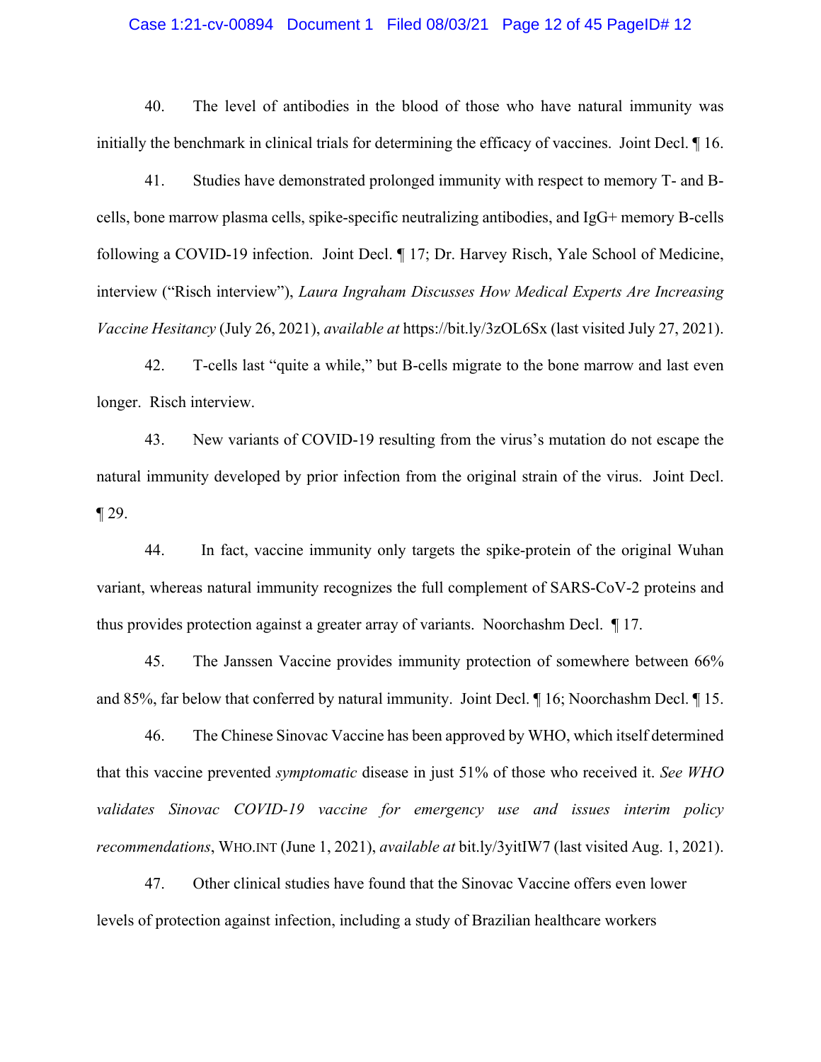#### Case 1:21-cv-00894 Document 1 Filed 08/03/21 Page 12 of 45 PageID# 12

40. The level of antibodies in the blood of those who have natural immunity was initially the benchmark in clinical trials for determining the efficacy of vaccines. Joint Decl. ¶ 16.

41. Studies have demonstrated prolonged immunity with respect to memory T- and Bcells, bone marrow plasma cells, spike-specific neutralizing antibodies, and IgG+ memory B-cells following a COVID-19 infection. Joint Decl. ¶ 17; Dr. Harvey Risch, Yale School of Medicine, interview ("Risch interview"), *Laura Ingraham Discusses How Medical Experts Are Increasing Vaccine Hesitancy* (July 26, 2021), *available at* https://bit.ly/3zOL6Sx (last visited July 27, 2021).

42. T-cells last "quite a while," but B-cells migrate to the bone marrow and last even longer. Risch interview.

43. New variants of COVID-19 resulting from the virus's mutation do not escape the natural immunity developed by prior infection from the original strain of the virus. Joint Decl. ¶ 29.

44. In fact, vaccine immunity only targets the spike-protein of the original Wuhan variant, whereas natural immunity recognizes the full complement of SARS-CoV-2 proteins and thus provides protection against a greater array of variants. Noorchashm Decl. ¶ 17.

45. The Janssen Vaccine provides immunity protection of somewhere between 66% and 85%, far below that conferred by natural immunity. Joint Decl. ¶ 16; Noorchashm Decl. ¶ 15.

46. The Chinese Sinovac Vaccine has been approved by WHO, which itself determined that this vaccine prevented *symptomatic* disease in just 51% of those who received it. *See WHO validates Sinovac COVID-19 vaccine for emergency use and issues interim policy recommendations*, WHO.INT (June 1, 2021), *available at* bit.ly/3yitIW7 (last visited Aug. 1, 2021).

47. Other clinical studies have found that the Sinovac Vaccine offers even lower levels of protection against infection, including a study of Brazilian healthcare workers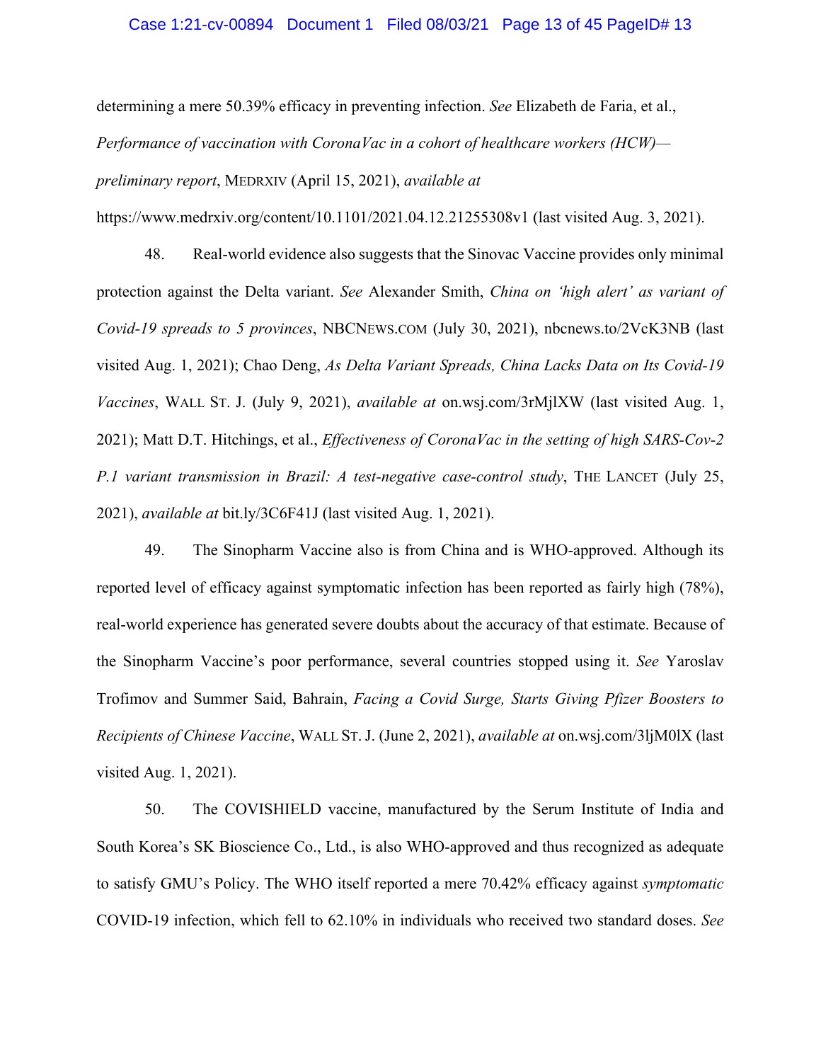### Case 1:21-cv-00894 Document 1 Filed 08/03/21 Page 13 of 45 PageID# 13

determining a mere 50.39% efficacy in preventing infection. *See* Elizabeth de Faria, et al., *Performance of vaccination with CoronaVac in a cohort of healthcare workers (HCW) preliminary report*, MEDRXIV (April 15, 2021), *available at* 

https://www.medrxiv.org/content/10.1101/2021.04.12.21255308v1 (last visited Aug. 3, 2021).

48. Real-world evidence also suggests that the Sinovac Vaccine provides only minimal protection against the Delta variant. *See* Alexander Smith, *China on 'high alert' as variant of Covid-19 spreads to 5 provinces*, NBCNEWS.COM (July 30, 2021), nbcnews.to/2VcK3NB (last visited Aug. 1, 2021); Chao Deng, *As Delta Variant Spreads, China Lacks Data on Its Covid-19 Vaccines*, WALL ST. J. (July 9, 2021), *available at* on.wsj.com/3rMjlXW (last visited Aug. 1, 2021); Matt D.T. Hitchings, et al., *Effectiveness of CoronaVac in the setting of high SARS-Cov-2 P.1 variant transmission in Brazil: A test-negative case-control study*, THE LANCET (July 25, 2021), *available at* bit.ly/3C6F41J (last visited Aug. 1, 2021).

49. The Sinopharm Vaccine also is from China and is WHO-approved. Although its reported level of efficacy against symptomatic infection has been reported as fairly high (78%), real-world experience has generated severe doubts about the accuracy of that estimate. Because of the Sinopharm Vaccine's poor performance, several countries stopped using it. *See* Yaroslav Trofimov and Summer Said, Bahrain, *Facing a Covid Surge, Starts Giving Pfizer Boosters to Recipients of Chinese Vaccine*, WALL ST.J. (June 2, 2021), *available at* on.wsj.com/3ljM0lX (last visited Aug. 1, 2021).

50. The COVISHIELD vaccine, manufactured by the Serum Institute of India and South Korea's SK Bioscience Co., Ltd., is also WHO-approved and thus recognized as adequate to satisfy GMU's Policy. The WHO itself reported a mere 70.42% efficacy against *symptomatic* COVID-19 infection, which fell to 62.10% in individuals who received two standard doses. *See*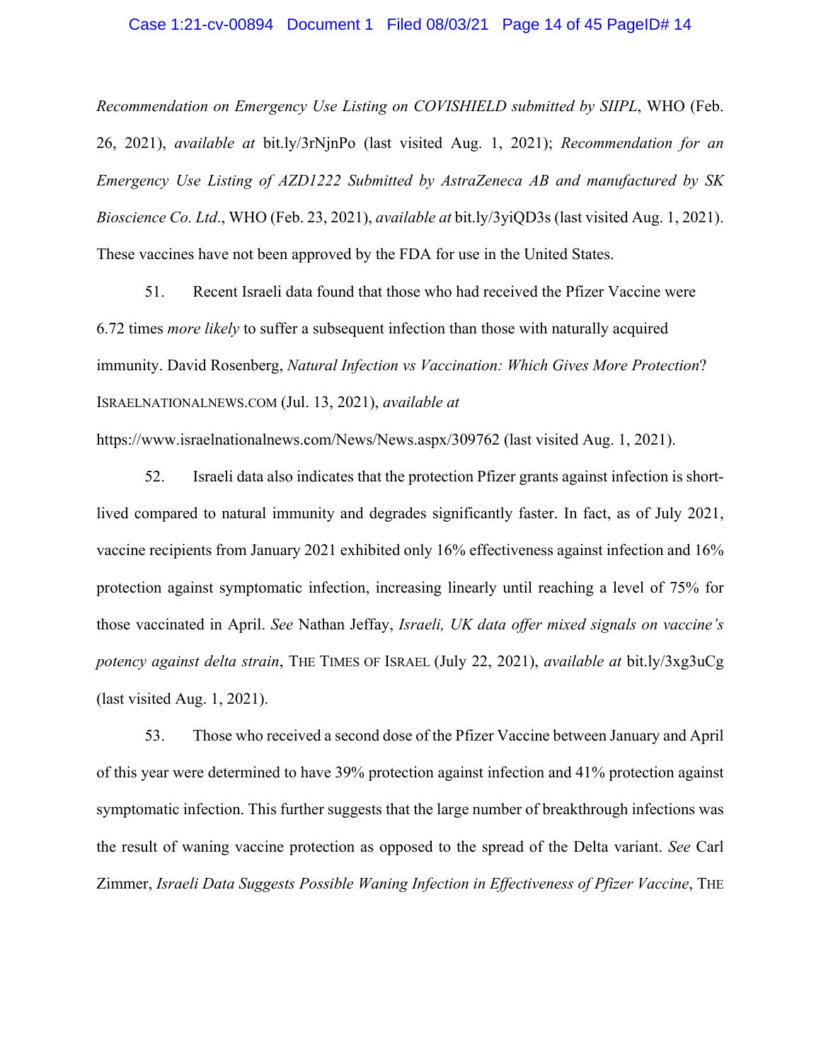#### Case 1:21-cv-00894 Document 1 Filed 08/03/21 Page 14 of 45 PageID# 14

*Recommendation on Emergency Use Listing on COVISHIELD submitted by SIIPL*, WHO (Feb. 26, 2021), *available at* bit.ly/3rNjnPo (last visited Aug. 1, 2021); *Recommendation for an Emergency Use Listing of AZD1222 Submitted by AstraZeneca AB and manufactured by SK Bioscience Co. Ltd*., WHO (Feb. 23, 2021), *available at* bit.ly/3yiQD3s (last visited Aug. 1, 2021). These vaccines have not been approved by the FDA for use in the United States.

51. Recent Israeli data found that those who had received the Pfizer Vaccine were 6.72 times *more likely* to suffer a subsequent infection than those with naturally acquired immunity. David Rosenberg, *Natural Infection vs Vaccination: Which Gives More Protection*? ISRAELNATIONALNEWS.COM (Jul. 13, 2021), *available at*

https://www.israelnationalnews.com/News/News.aspx/309762 (last visited Aug. 1, 2021).

52. Israeli data also indicates that the protection Pfizer grants against infection is shortlived compared to natural immunity and degrades significantly faster. In fact, as of July 2021, vaccine recipients from January 2021 exhibited only 16% effectiveness against infection and 16% protection against symptomatic infection, increasing linearly until reaching a level of 75% for those vaccinated in April. *See* Nathan Jeffay, *Israeli, UK data offer mixed signals on vaccine's potency against delta strain*, THE TIMES OF ISRAEL (July 22, 2021), *available at* bit.ly/3xg3uCg (last visited Aug. 1, 2021).

53. Those who received a second dose of the Pfizer Vaccine between January and April of this year were determined to have 39% protection against infection and 41% protection against symptomatic infection. This further suggests that the large number of breakthrough infections was the result of waning vaccine protection as opposed to the spread of the Delta variant. *See* Carl Zimmer, *Israeli Data Suggests Possible Waning Infection in Effectiveness of Pfizer Vaccine*, THE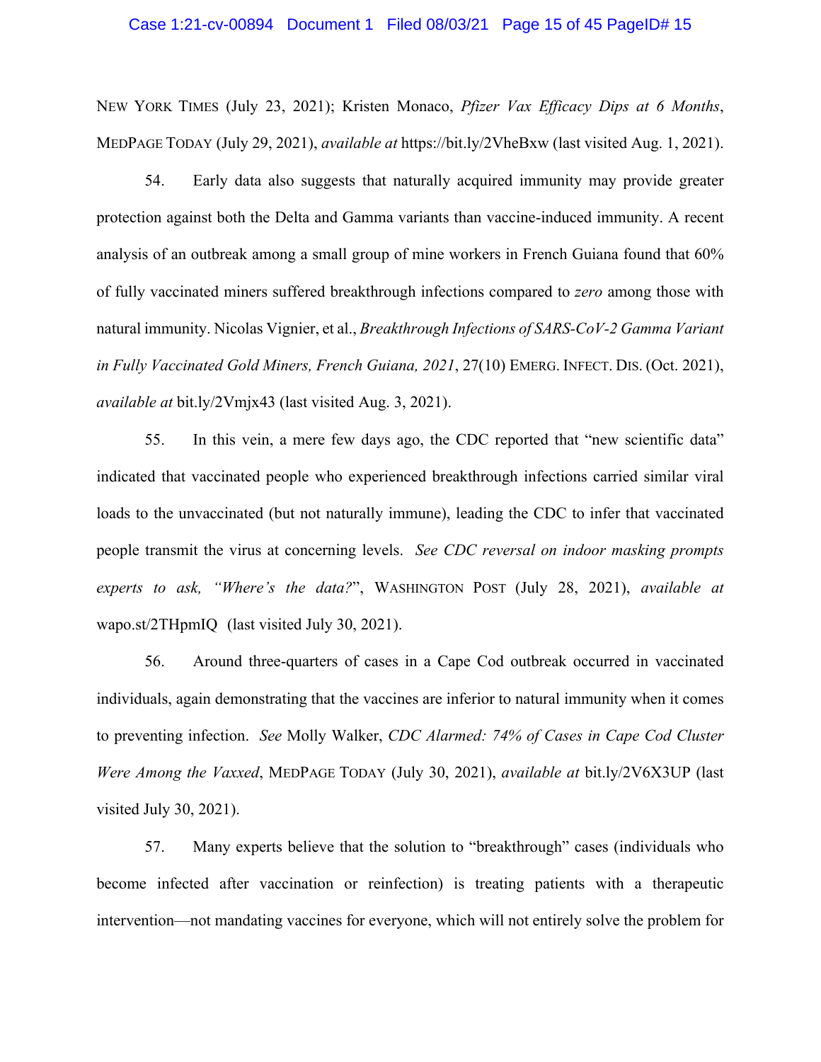#### Case 1:21-cv-00894 Document 1 Filed 08/03/21 Page 15 of 45 PageID# 15

NEW YORK TIMES (July 23, 2021); Kristen Monaco, *Pfizer Vax Efficacy Dips at 6 Months*, MEDPAGE TODAY (July 29, 2021), *available at* https://bit.ly/2VheBxw (last visited Aug. 1, 2021).

54. Early data also suggests that naturally acquired immunity may provide greater protection against both the Delta and Gamma variants than vaccine-induced immunity. A recent analysis of an outbreak among a small group of mine workers in French Guiana found that 60% of fully vaccinated miners suffered breakthrough infections compared to *zero* among those with natural immunity. Nicolas Vignier, et al., *Breakthrough Infections of SARS-CoV-2 Gamma Variant in Fully Vaccinated Gold Miners, French Guiana, 2021*, 27(10) EMERG. INFECT. DIS. (Oct. 2021), *available at* bit.ly/2Vmjx43 (last visited Aug. 3, 2021).

55. In this vein, a mere few days ago, the CDC reported that "new scientific data" indicated that vaccinated people who experienced breakthrough infections carried similar viral loads to the unvaccinated (but not naturally immune), leading the CDC to infer that vaccinated people transmit the virus at concerning levels. *See CDC reversal on indoor masking prompts experts to ask, "Where's the data?*", WASHINGTON POST (July 28, 2021), *available at*  wapo.st/2THpmIQ (last visited July 30, 2021).

56. Around three-quarters of cases in a Cape Cod outbreak occurred in vaccinated individuals, again demonstrating that the vaccines are inferior to natural immunity when it comes to preventing infection. *See* Molly Walker, *CDC Alarmed: 74% of Cases in Cape Cod Cluster Were Among the Vaxxed*, MEDPAGE TODAY (July 30, 2021), *available at* bit.ly/2V6X3UP (last visited July 30, 2021).

57. Many experts believe that the solution to "breakthrough" cases (individuals who become infected after vaccination or reinfection) is treating patients with a therapeutic intervention—not mandating vaccines for everyone, which will not entirely solve the problem for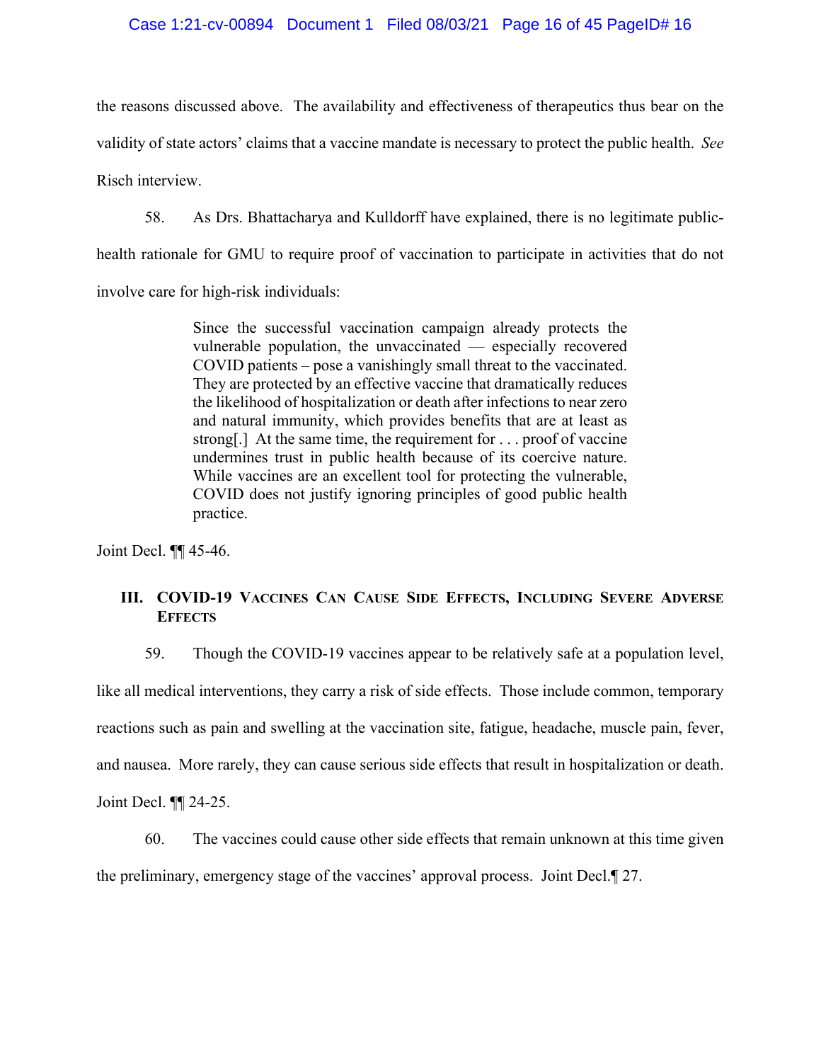# Case 1:21-cv-00894 Document 1 Filed 08/03/21 Page 16 of 45 PageID# 16

the reasons discussed above. The availability and effectiveness of therapeutics thus bear on the validity of state actors' claims that a vaccine mandate is necessary to protect the public health. *See*  Risch interview.

58. As Drs. Bhattacharya and Kulldorff have explained, there is no legitimate publichealth rationale for GMU to require proof of vaccination to participate in activities that do not involve care for high-risk individuals:

> Since the successful vaccination campaign already protects the vulnerable population, the unvaccinated — especially recovered COVID patients – pose a vanishingly small threat to the vaccinated. They are protected by an effective vaccine that dramatically reduces the likelihood of hospitalization or death after infections to near zero and natural immunity, which provides benefits that are at least as strong[.] At the same time, the requirement for . . . proof of vaccine undermines trust in public health because of its coercive nature. While vaccines are an excellent tool for protecting the vulnerable, COVID does not justify ignoring principles of good public health practice.

Joint Decl. ¶¶ 45-46.

# **III. COVID-19 VACCINES CAN CAUSE SIDE EFFECTS, INCLUDING SEVERE ADVERSE EFFECTS**

59. Though the COVID-19 vaccines appear to be relatively safe at a population level,

like all medical interventions, they carry a risk of side effects. Those include common, temporary reactions such as pain and swelling at the vaccination site, fatigue, headache, muscle pain, fever, and nausea. More rarely, they can cause serious side effects that result in hospitalization or death.

Joint Decl. ¶¶ 24-25.

60. The vaccines could cause other side effects that remain unknown at this time given the preliminary, emergency stage of the vaccines' approval process. Joint Decl.¶ 27.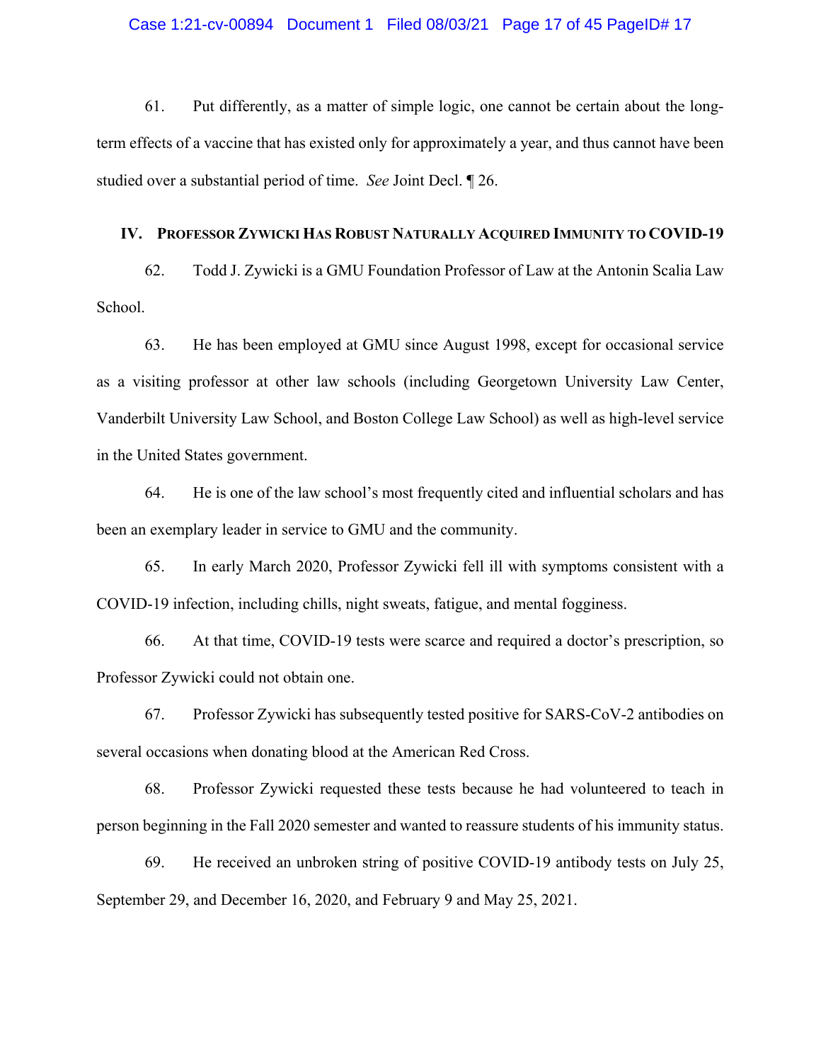## Case 1:21-cv-00894 Document 1 Filed 08/03/21 Page 17 of 45 PageID# 17

61. Put differently, as a matter of simple logic, one cannot be certain about the longterm effects of a vaccine that has existed only for approximately a year, and thus cannot have been studied over a substantial period of time. *See* Joint Decl. ¶ 26.

#### **IV. PROFESSOR ZYWICKI HAS ROBUST NATURALLY ACQUIRED IMMUNITY TO COVID-19**

62. Todd J. Zywicki is a GMU Foundation Professor of Law at the Antonin Scalia Law School.

63. He has been employed at GMU since August 1998, except for occasional service as a visiting professor at other law schools (including Georgetown University Law Center, Vanderbilt University Law School, and Boston College Law School) as well as high-level service in the United States government.

64. He is one of the law school's most frequently cited and influential scholars and has been an exemplary leader in service to GMU and the community.

65. In early March 2020, Professor Zywicki fell ill with symptoms consistent with a COVID-19 infection, including chills, night sweats, fatigue, and mental fogginess.

66. At that time, COVID-19 tests were scarce and required a doctor's prescription, so Professor Zywicki could not obtain one.

67. Professor Zywicki has subsequently tested positive for SARS-CoV-2 antibodies on several occasions when donating blood at the American Red Cross.

68. Professor Zywicki requested these tests because he had volunteered to teach in person beginning in the Fall 2020 semester and wanted to reassure students of his immunity status.

69. He received an unbroken string of positive COVID-19 antibody tests on July 25, September 29, and December 16, 2020, and February 9 and May 25, 2021.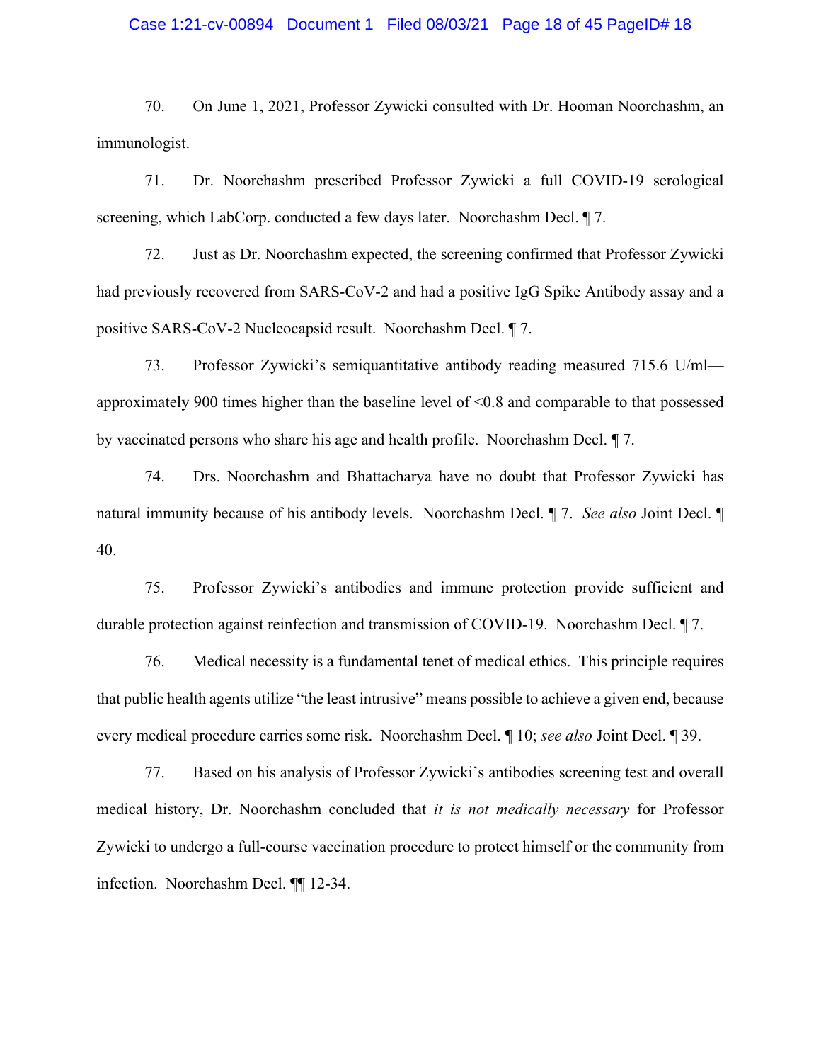### Case 1:21-cv-00894 Document 1 Filed 08/03/21 Page 18 of 45 PageID# 18

70. On June 1, 2021, Professor Zywicki consulted with Dr. Hooman Noorchashm, an immunologist.

71. Dr. Noorchashm prescribed Professor Zywicki a full COVID-19 serological screening, which LabCorp. conducted a few days later. Noorchashm Decl.  $\P$  7.

72. Just as Dr. Noorchashm expected, the screening confirmed that Professor Zywicki had previously recovered from SARS-CoV-2 and had a positive IgG Spike Antibody assay and a positive SARS-CoV-2 Nucleocapsid result. Noorchashm Decl. ¶ 7.

73. Professor Zywicki's semiquantitative antibody reading measured 715.6 U/ml approximately 900 times higher than the baseline level of <0.8 and comparable to that possessed by vaccinated persons who share his age and health profile. Noorchashm Decl. ¶ 7.

74. Drs. Noorchashm and Bhattacharya have no doubt that Professor Zywicki has natural immunity because of his antibody levels. Noorchashm Decl. ¶ 7. *See also* Joint Decl. ¶ 40.

75. Professor Zywicki's antibodies and immune protection provide sufficient and durable protection against reinfection and transmission of COVID-19. Noorchashm Decl. ¶ 7.

76. Medical necessity is a fundamental tenet of medical ethics. This principle requires that public health agents utilize "the least intrusive" means possible to achieve a given end, because every medical procedure carries some risk. Noorchashm Decl. ¶ 10; *see also* Joint Decl. ¶ 39.

77. Based on his analysis of Professor Zywicki's antibodies screening test and overall medical history, Dr. Noorchashm concluded that *it is not medically necessary* for Professor Zywicki to undergo a full-course vaccination procedure to protect himself or the community from infection. Noorchashm Decl. ¶¶ 12-34.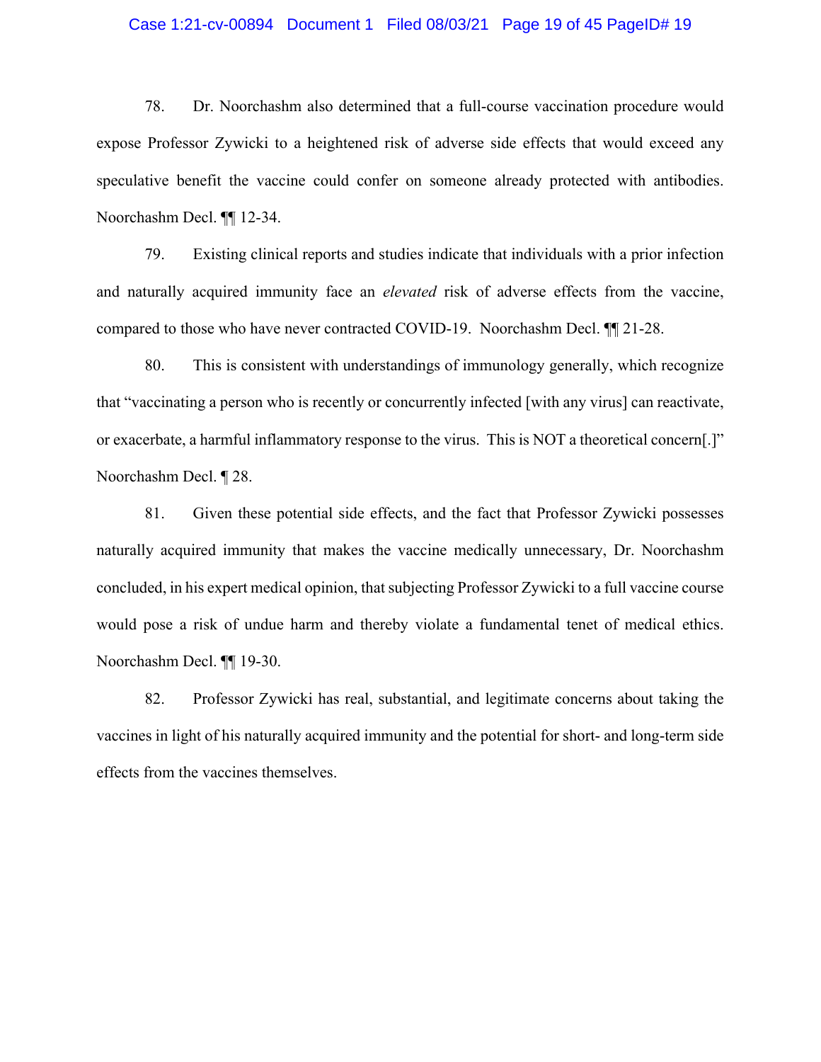### Case 1:21-cv-00894 Document 1 Filed 08/03/21 Page 19 of 45 PageID# 19

78. Dr. Noorchashm also determined that a full-course vaccination procedure would expose Professor Zywicki to a heightened risk of adverse side effects that would exceed any speculative benefit the vaccine could confer on someone already protected with antibodies. Noorchashm Decl. ¶¶ 12-34.

79. Existing clinical reports and studies indicate that individuals with a prior infection and naturally acquired immunity face an *elevated* risk of adverse effects from the vaccine, compared to those who have never contracted COVID-19. Noorchashm Decl. ¶¶ 21-28.

80. This is consistent with understandings of immunology generally, which recognize that "vaccinating a person who is recently or concurrently infected [with any virus] can reactivate, or exacerbate, a harmful inflammatory response to the virus. This is NOT a theoretical concern[.]" Noorchashm Decl. ¶ 28.

81. Given these potential side effects, and the fact that Professor Zywicki possesses naturally acquired immunity that makes the vaccine medically unnecessary, Dr. Noorchashm concluded, in his expert medical opinion, that subjecting Professor Zywicki to a full vaccine course would pose a risk of undue harm and thereby violate a fundamental tenet of medical ethics. Noorchashm Decl. ¶¶ 19-30.

82. Professor Zywicki has real, substantial, and legitimate concerns about taking the vaccines in light of his naturally acquired immunity and the potential for short- and long-term side effects from the vaccines themselves.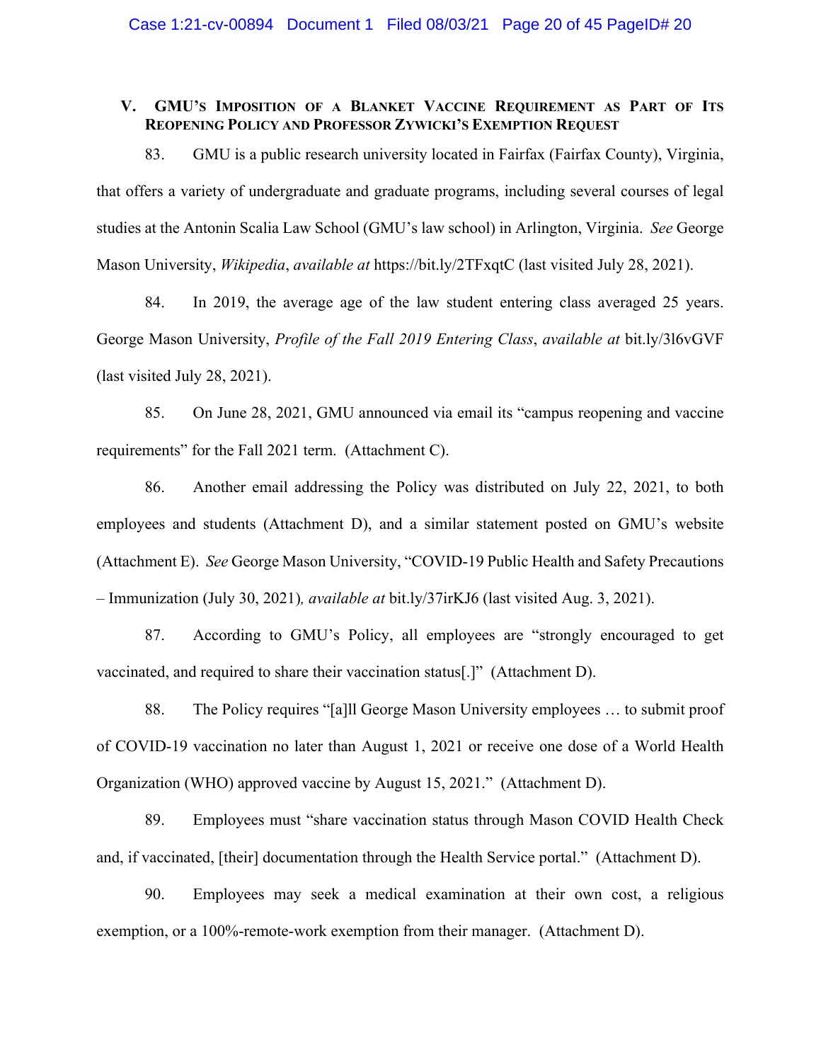# **V. GMU'S IMPOSITION OF A BLANKET VACCINE REQUIREMENT AS PART OF ITS REOPENING POLICY AND PROFESSOR ZYWICKI'S EXEMPTION REQUEST**

83. GMU is a public research university located in Fairfax (Fairfax County), Virginia, that offers a variety of undergraduate and graduate programs, including several courses of legal studies at the Antonin Scalia Law School (GMU's law school) in Arlington, Virginia. *See* George Mason University, *Wikipedia*, *available at* https://bit.ly/2TFxqtC (last visited July 28, 2021).

84. In 2019, the average age of the law student entering class averaged 25 years. George Mason University, *Profile of the Fall 2019 Entering Class*, *available at* bit.ly/3l6vGVF (last visited July 28, 2021).

85. On June 28, 2021, GMU announced via email its "campus reopening and vaccine requirements" for the Fall 2021 term. (Attachment C).

86. Another email addressing the Policy was distributed on July 22, 2021, to both employees and students (Attachment D), and a similar statement posted on GMU's website (Attachment E). *See* George Mason University, "COVID-19 Public Health and Safety Precautions – Immunization (July 30, 2021)*, available at* bit.ly/37irKJ6 (last visited Aug. 3, 2021).

87. According to GMU's Policy, all employees are "strongly encouraged to get vaccinated, and required to share their vaccination status[.]" (Attachment D).

88. The Policy requires "[a]ll George Mason University employees … to submit proof of COVID-19 vaccination no later than August 1, 2021 or receive one dose of a World Health Organization (WHO) approved vaccine by August 15, 2021." (Attachment D).

89. Employees must "share vaccination status through Mason COVID Health Check and, if vaccinated, [their] documentation through the Health Service portal." (Attachment D).

90. Employees may seek a medical examination at their own cost, a religious exemption, or a 100%-remote-work exemption from their manager. (Attachment D).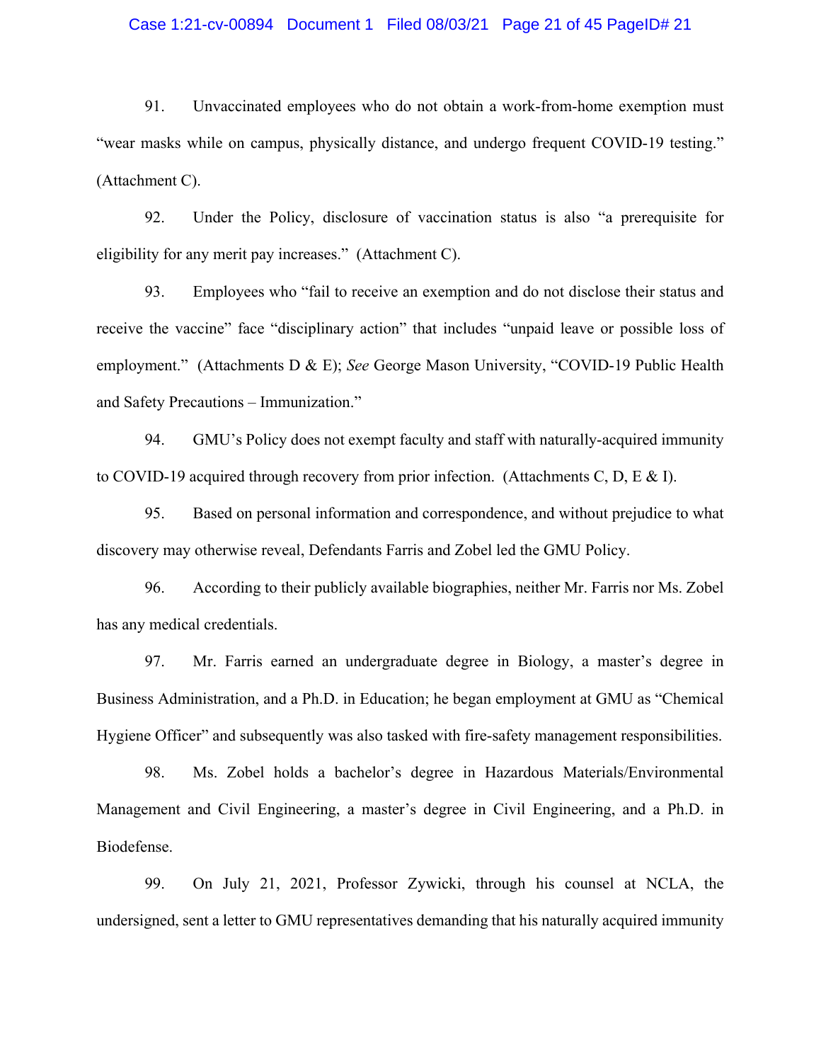## Case 1:21-cv-00894 Document 1 Filed 08/03/21 Page 21 of 45 PageID# 21

91. Unvaccinated employees who do not obtain a work-from-home exemption must "wear masks while on campus, physically distance, and undergo frequent COVID-19 testing." (Attachment C).

92. Under the Policy, disclosure of vaccination status is also "a prerequisite for eligibility for any merit pay increases." (Attachment C).

93. Employees who "fail to receive an exemption and do not disclose their status and receive the vaccine" face "disciplinary action" that includes "unpaid leave or possible loss of employment." (Attachments D & E); *See* George Mason University, "COVID-19 Public Health and Safety Precautions – Immunization."

94. GMU's Policy does not exempt faculty and staff with naturally-acquired immunity to COVID-19 acquired through recovery from prior infection. (Attachments C, D, E & I).

95. Based on personal information and correspondence, and without prejudice to what discovery may otherwise reveal, Defendants Farris and Zobel led the GMU Policy.

96. According to their publicly available biographies, neither Mr. Farris nor Ms. Zobel has any medical credentials.

97. Mr. Farris earned an undergraduate degree in Biology, a master's degree in Business Administration, and a Ph.D. in Education; he began employment at GMU as "Chemical Hygiene Officer" and subsequently was also tasked with fire-safety management responsibilities.

98. Ms. Zobel holds a bachelor's degree in Hazardous Materials/Environmental Management and Civil Engineering, a master's degree in Civil Engineering, and a Ph.D. in Biodefense.

99. On July 21, 2021, Professor Zywicki, through his counsel at NCLA, the undersigned, sent a letter to GMU representatives demanding that his naturally acquired immunity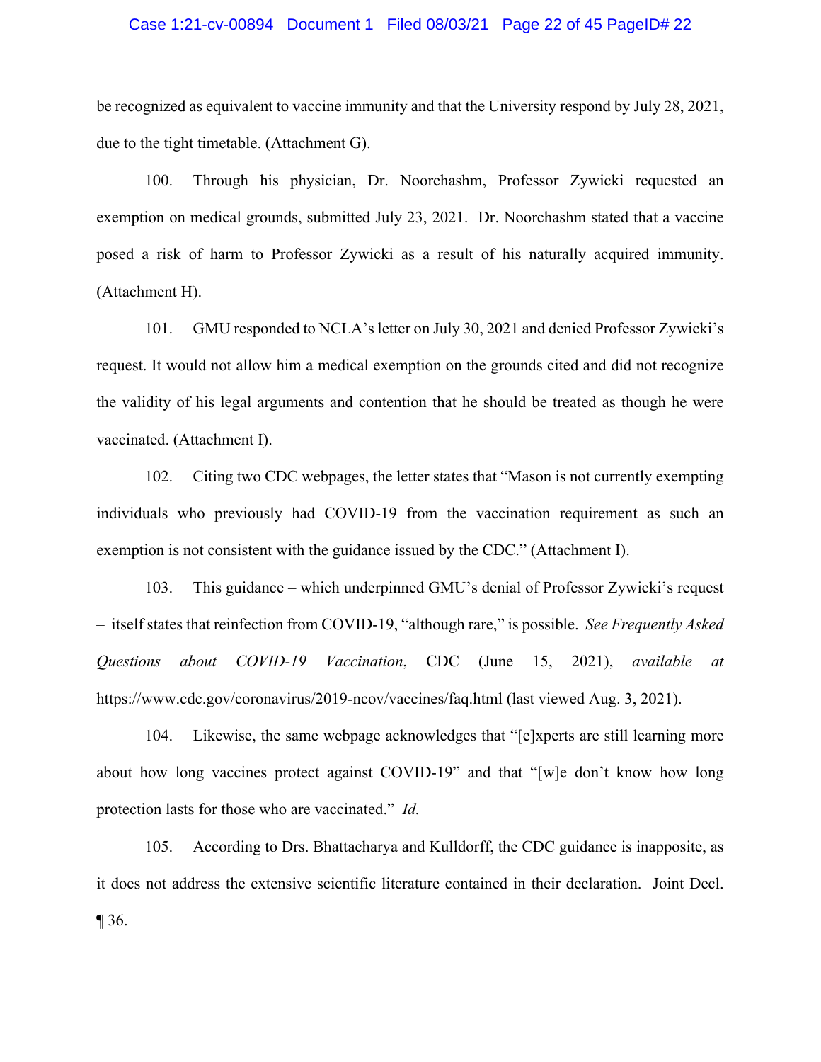#### Case 1:21-cv-00894 Document 1 Filed 08/03/21 Page 22 of 45 PageID# 22

be recognized as equivalent to vaccine immunity and that the University respond by July 28, 2021, due to the tight timetable. (Attachment G).

100. Through his physician, Dr. Noorchashm, Professor Zywicki requested an exemption on medical grounds, submitted July 23, 2021. Dr. Noorchashm stated that a vaccine posed a risk of harm to Professor Zywicki as a result of his naturally acquired immunity. (Attachment H).

101. GMU responded to NCLA's letter on July 30, 2021 and denied Professor Zywicki's request. It would not allow him a medical exemption on the grounds cited and did not recognize the validity of his legal arguments and contention that he should be treated as though he were vaccinated. (Attachment I).

102. Citing two CDC webpages, the letter states that "Mason is not currently exempting individuals who previously had COVID-19 from the vaccination requirement as such an exemption is not consistent with the guidance issued by the CDC." (Attachment I).

103. This guidance – which underpinned GMU's denial of Professor Zywicki's request – itself states that reinfection from COVID-19, "although rare," is possible. *See Frequently Asked Questions about COVID-19 Vaccination*, CDC (June 15, 2021), *available at* https://www.cdc.gov/coronavirus/2019-ncov/vaccines/faq.html (last viewed Aug. 3, 2021).

104. Likewise, the same webpage acknowledges that "[e]xperts are still learning more about how long vaccines protect against COVID-19" and that "[w]e don't know how long protection lasts for those who are vaccinated." *Id.* 

105. According to Drs. Bhattacharya and Kulldorff, the CDC guidance is inapposite, as it does not address the extensive scientific literature contained in their declaration. Joint Decl. ¶ 36.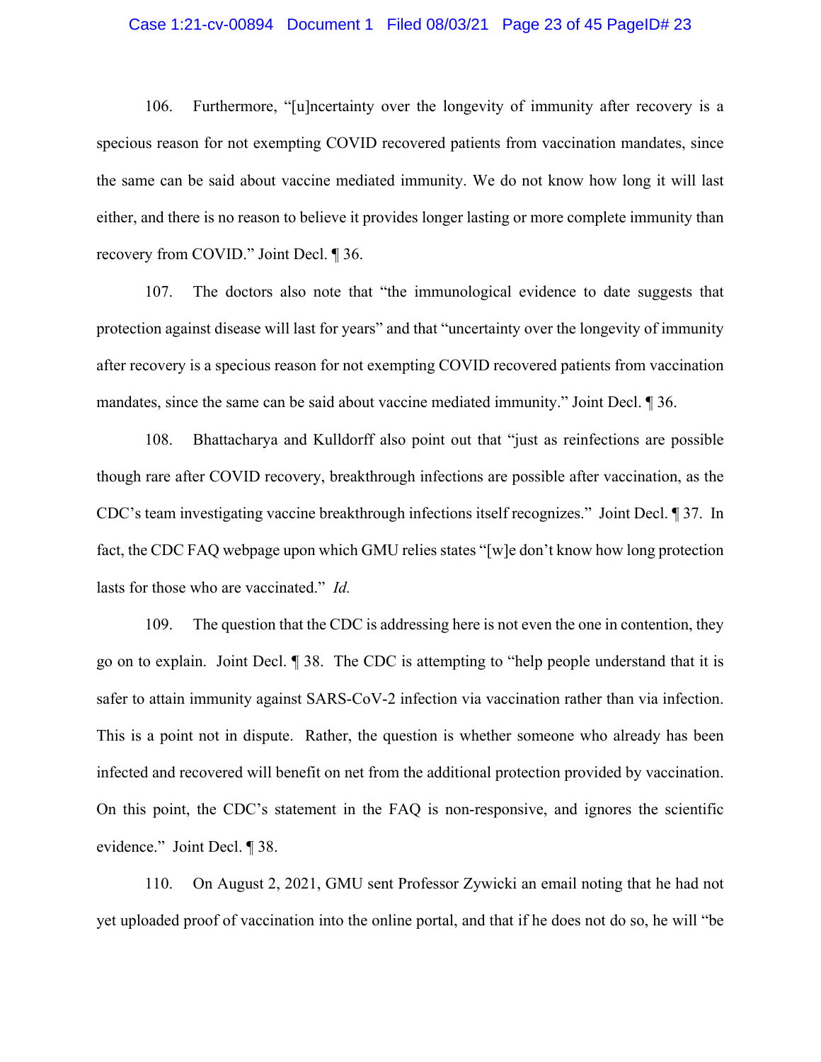#### Case 1:21-cv-00894 Document 1 Filed 08/03/21 Page 23 of 45 PageID# 23

106. Furthermore, "[u]ncertainty over the longevity of immunity after recovery is a specious reason for not exempting COVID recovered patients from vaccination mandates, since the same can be said about vaccine mediated immunity. We do not know how long it will last either, and there is no reason to believe it provides longer lasting or more complete immunity than recovery from COVID." Joint Decl. ¶ 36.

107. The doctors also note that "the immunological evidence to date suggests that protection against disease will last for years" and that "uncertainty over the longevity of immunity after recovery is a specious reason for not exempting COVID recovered patients from vaccination mandates, since the same can be said about vaccine mediated immunity." Joint Decl. ¶ 36.

108. Bhattacharya and Kulldorff also point out that "just as reinfections are possible though rare after COVID recovery, breakthrough infections are possible after vaccination, as the CDC's team investigating vaccine breakthrough infections itself recognizes." Joint Decl. ¶ 37. In fact, the CDC FAQ webpage upon which GMU relies states "[w]e don't know how long protection lasts for those who are vaccinated." *Id.*

109. The question that the CDC is addressing here is not even the one in contention, they go on to explain. Joint Decl. ¶ 38. The CDC is attempting to "help people understand that it is safer to attain immunity against SARS-CoV-2 infection via vaccination rather than via infection. This is a point not in dispute. Rather, the question is whether someone who already has been infected and recovered will benefit on net from the additional protection provided by vaccination. On this point, the CDC's statement in the FAQ is non-responsive, and ignores the scientific evidence." Joint Decl. ¶ 38.

110. On August 2, 2021, GMU sent Professor Zywicki an email noting that he had not yet uploaded proof of vaccination into the online portal, and that if he does not do so, he will "be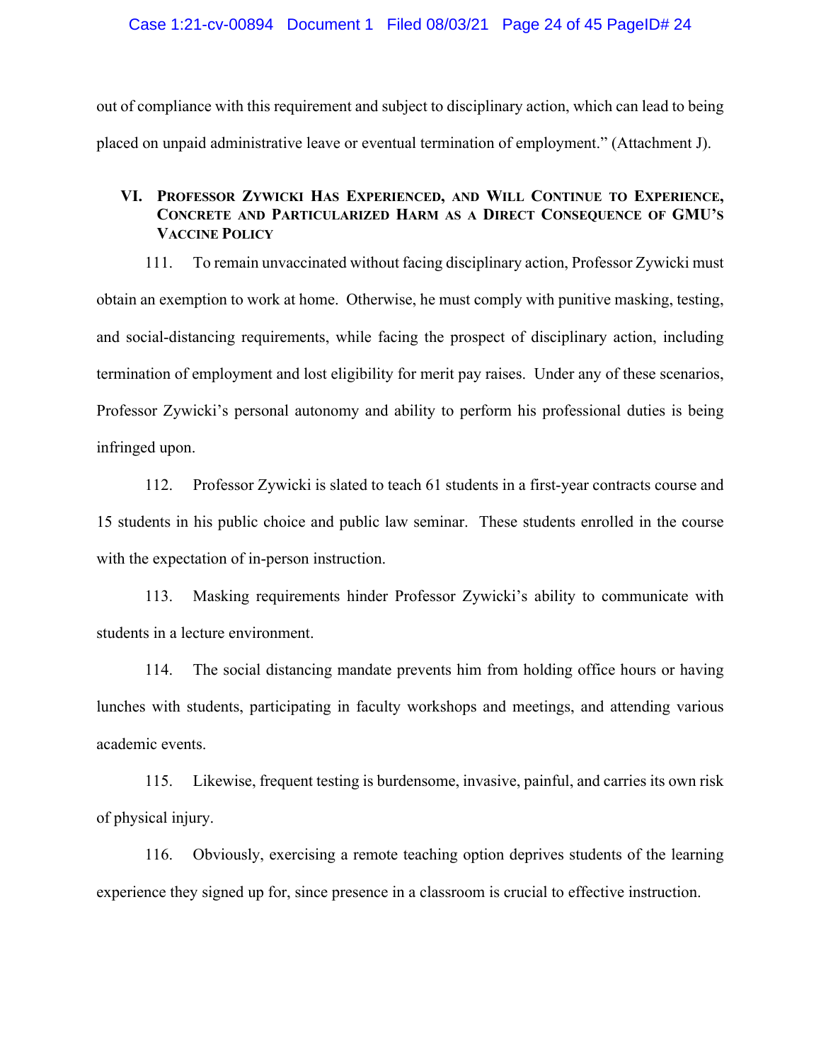out of compliance with this requirement and subject to disciplinary action, which can lead to being placed on unpaid administrative leave or eventual termination of employment." (Attachment J).

# **VI. PROFESSOR ZYWICKI HAS EXPERIENCED, AND WILL CONTINUE TO EXPERIENCE, CONCRETE AND PARTICULARIZED HARM AS A DIRECT CONSEQUENCE OF GMU'S VACCINE POLICY**

111. To remain unvaccinated without facing disciplinary action, Professor Zywicki must obtain an exemption to work at home. Otherwise, he must comply with punitive masking, testing, and social-distancing requirements, while facing the prospect of disciplinary action, including termination of employment and lost eligibility for merit pay raises. Under any of these scenarios, Professor Zywicki's personal autonomy and ability to perform his professional duties is being infringed upon.

112. Professor Zywicki is slated to teach 61 students in a first-year contracts course and 15 students in his public choice and public law seminar. These students enrolled in the course with the expectation of in-person instruction.

113. Masking requirements hinder Professor Zywicki's ability to communicate with students in a lecture environment.

114. The social distancing mandate prevents him from holding office hours or having lunches with students, participating in faculty workshops and meetings, and attending various academic events.

115. Likewise, frequent testing is burdensome, invasive, painful, and carries its own risk of physical injury.

116. Obviously, exercising a remote teaching option deprives students of the learning experience they signed up for, since presence in a classroom is crucial to effective instruction.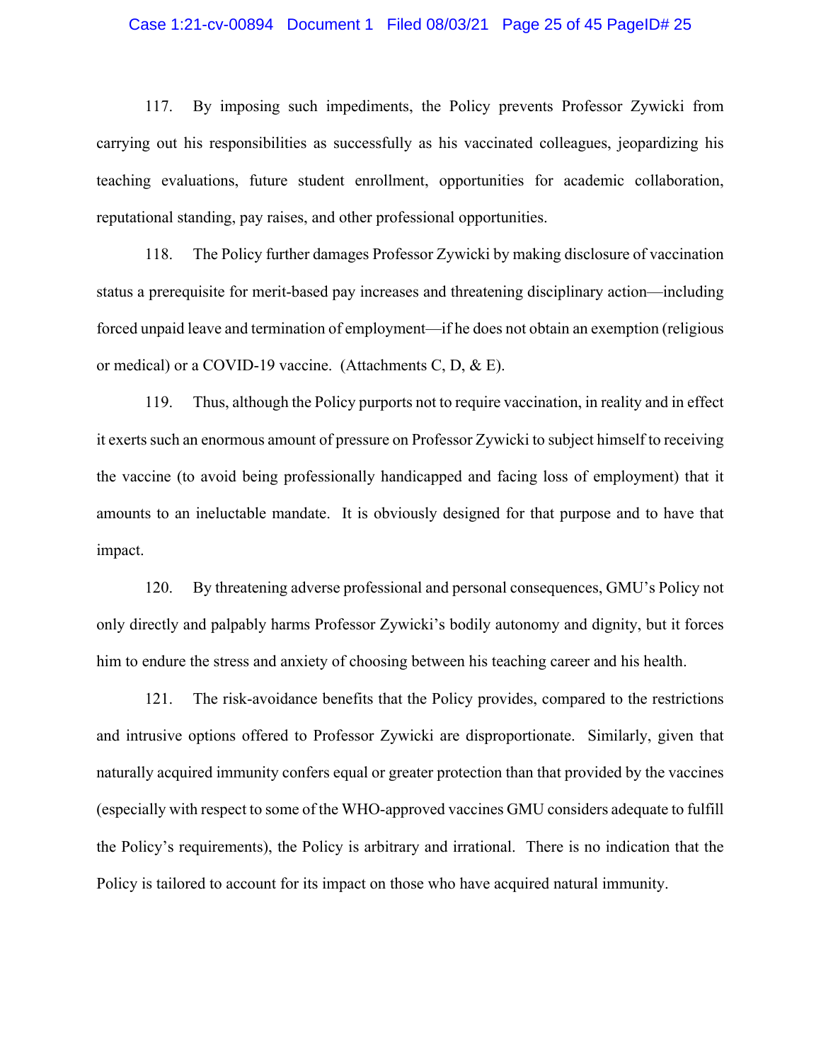#### Case 1:21-cv-00894 Document 1 Filed 08/03/21 Page 25 of 45 PageID# 25

117. By imposing such impediments, the Policy prevents Professor Zywicki from carrying out his responsibilities as successfully as his vaccinated colleagues, jeopardizing his teaching evaluations, future student enrollment, opportunities for academic collaboration, reputational standing, pay raises, and other professional opportunities.

118. The Policy further damages Professor Zywicki by making disclosure of vaccination status a prerequisite for merit-based pay increases and threatening disciplinary action—including forced unpaid leave and termination of employment—if he does not obtain an exemption (religious or medical) or a COVID-19 vaccine. (Attachments C, D, & E).

119. Thus, although the Policy purports not to require vaccination, in reality and in effect it exerts such an enormous amount of pressure on Professor Zywicki to subject himself to receiving the vaccine (to avoid being professionally handicapped and facing loss of employment) that it amounts to an ineluctable mandate. It is obviously designed for that purpose and to have that impact.

120. By threatening adverse professional and personal consequences, GMU's Policy not only directly and palpably harms Professor Zywicki's bodily autonomy and dignity, but it forces him to endure the stress and anxiety of choosing between his teaching career and his health.

121. The risk-avoidance benefits that the Policy provides, compared to the restrictions and intrusive options offered to Professor Zywicki are disproportionate. Similarly, given that naturally acquired immunity confers equal or greater protection than that provided by the vaccines (especially with respect to some of the WHO-approved vaccines GMU considers adequate to fulfill the Policy's requirements), the Policy is arbitrary and irrational. There is no indication that the Policy is tailored to account for its impact on those who have acquired natural immunity.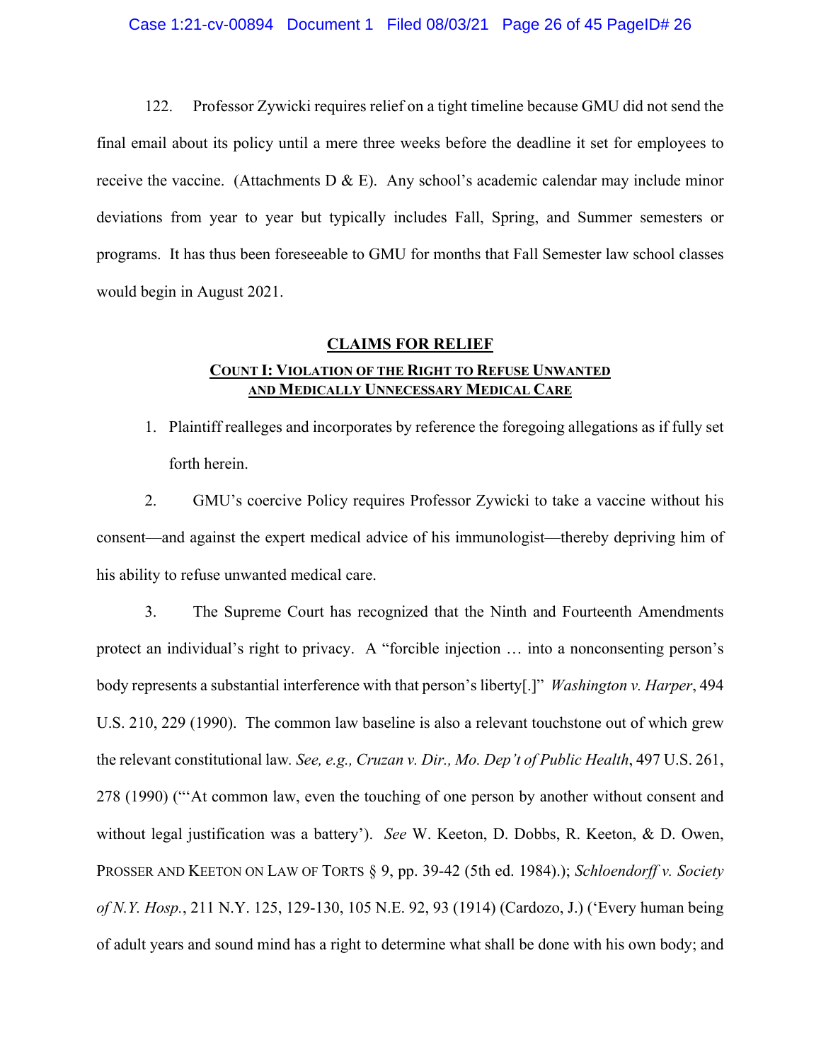122. Professor Zywicki requires relief on a tight timeline because GMU did not send the final email about its policy until a mere three weeks before the deadline it set for employees to receive the vaccine. (Attachments D & E). Any school's academic calendar may include minor deviations from year to year but typically includes Fall, Spring, and Summer semesters or programs. It has thus been foreseeable to GMU for months that Fall Semester law school classes would begin in August 2021.

# **CLAIMS FOR RELIEF**

# **COUNT I: VIOLATION OF THE RIGHT TO REFUSE UNWANTED AND MEDICALLY UNNECESSARY MEDICAL CARE**

1. Plaintiff realleges and incorporates by reference the foregoing allegations as if fully set forth herein.

2. GMU's coercive Policy requires Professor Zywicki to take a vaccine without his consent—and against the expert medical advice of his immunologist—thereby depriving him of his ability to refuse unwanted medical care.

3. The Supreme Court has recognized that the Ninth and Fourteenth Amendments protect an individual's right to privacy. A "forcible injection … into a nonconsenting person's body represents a substantial interference with that person's liberty[.]" *Washington v. Harper*, 494 U.S. 210, 229 (1990). The common law baseline is also a relevant touchstone out of which grew the relevant constitutional law*. See, e.g., Cruzan v. Dir., Mo. Dep't of Public Health*, 497 U.S. 261, 278 (1990) ("'At common law, even the touching of one person by another without consent and without legal justification was a battery'). *See* W. Keeton, D. Dobbs, R. Keeton, & D. Owen, PROSSER AND KEETON ON LAW OF TORTS § 9, pp. 39-42 (5th ed. 1984).); *Schloendorff v. Society of N.Y. Hosp.*, 211 N.Y. 125, 129-130, 105 N.E. 92, 93 (1914) (Cardozo, J.) ('Every human being of adult years and sound mind has a right to determine what shall be done with his own body; and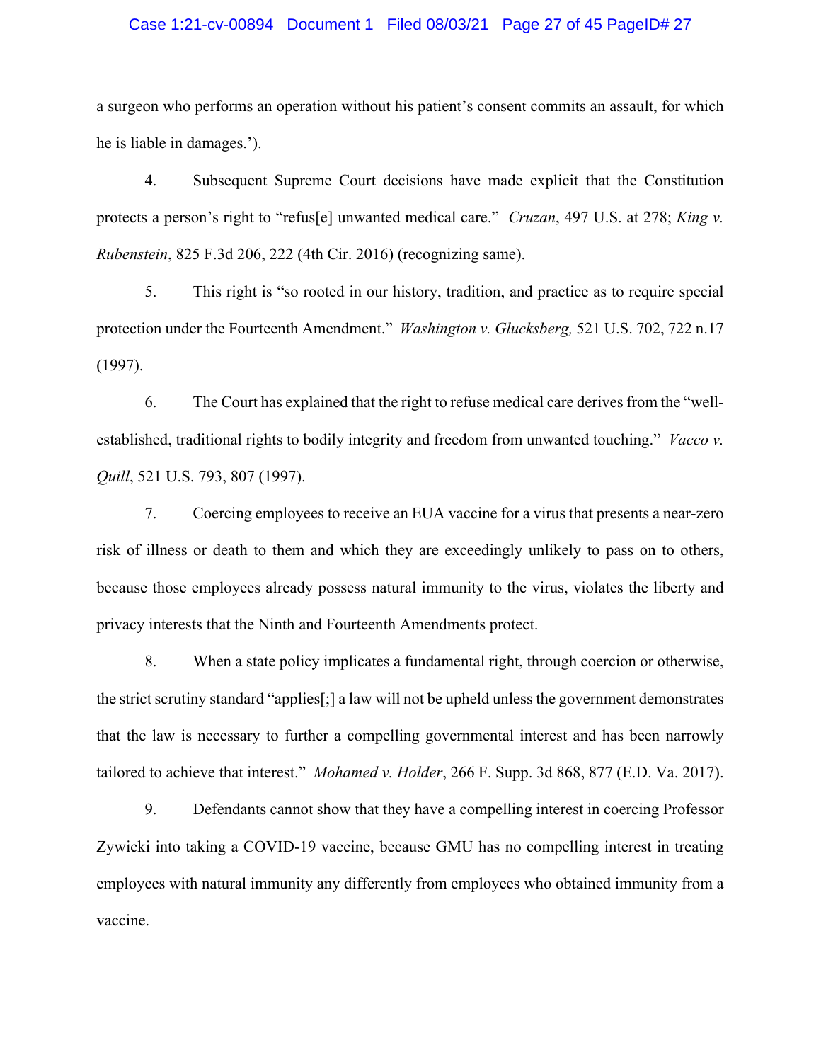## Case 1:21-cv-00894 Document 1 Filed 08/03/21 Page 27 of 45 PageID# 27

a surgeon who performs an operation without his patient's consent commits an assault, for which he is liable in damages.').

4. Subsequent Supreme Court decisions have made explicit that the Constitution protects a person's right to "refus[e] unwanted medical care." *Cruzan*, 497 U.S. at 278; *King v. Rubenstein*, 825 F.3d 206, 222 (4th Cir. 2016) (recognizing same).

5. This right is "so rooted in our history, tradition, and practice as to require special protection under the Fourteenth Amendment." *Washington v. Glucksberg,* 521 U.S. 702, 722 n.17 (1997).

6. The Court has explained that the right to refuse medical care derives from the "wellestablished, traditional rights to bodily integrity and freedom from unwanted touching." *Vacco v. Quill*, 521 U.S. 793, 807 (1997).

7. Coercing employees to receive an EUA vaccine for a virus that presents a near-zero risk of illness or death to them and which they are exceedingly unlikely to pass on to others, because those employees already possess natural immunity to the virus, violates the liberty and privacy interests that the Ninth and Fourteenth Amendments protect.

8. When a state policy implicates a fundamental right, through coercion or otherwise, the strict scrutiny standard "applies[;] a law will not be upheld unless the government demonstrates that the law is necessary to further a compelling governmental interest and has been narrowly tailored to achieve that interest." *Mohamed v. Holder*, 266 F. Supp. 3d 868, 877 (E.D. Va. 2017).

9. Defendants cannot show that they have a compelling interest in coercing Professor Zywicki into taking a COVID-19 vaccine, because GMU has no compelling interest in treating employees with natural immunity any differently from employees who obtained immunity from a vaccine.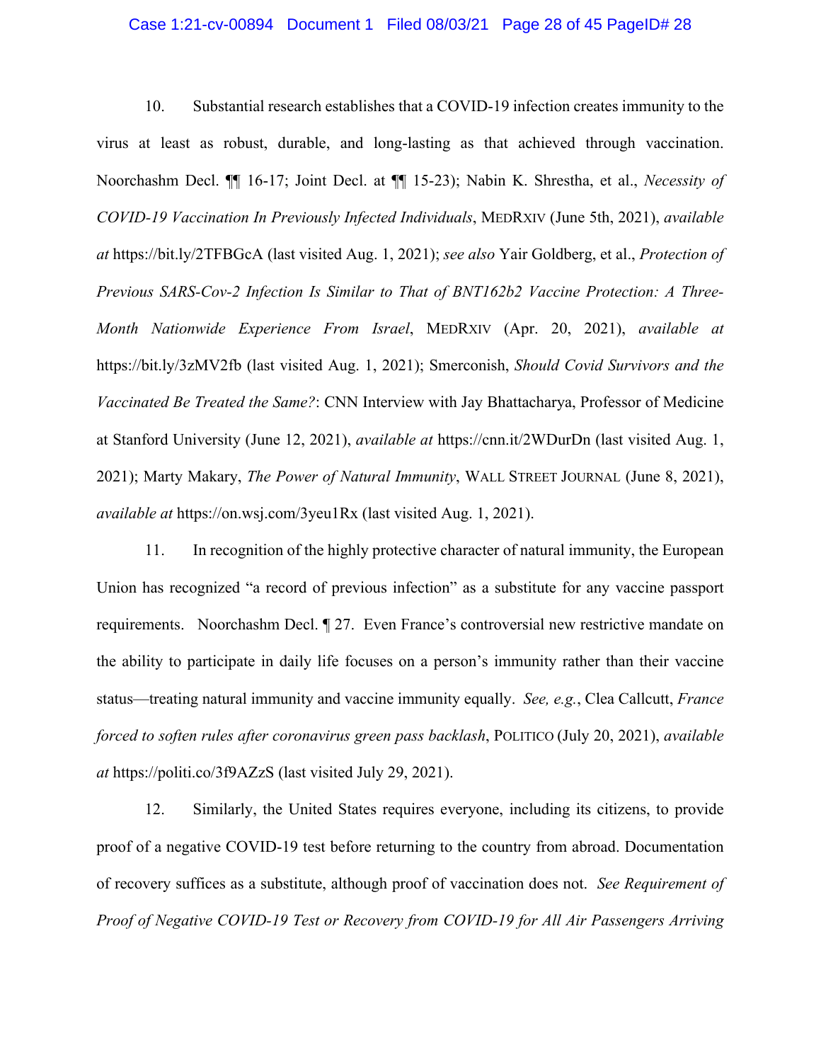#### Case 1:21-cv-00894 Document 1 Filed 08/03/21 Page 28 of 45 PageID# 28

10. Substantial research establishes that a COVID-19 infection creates immunity to the virus at least as robust, durable, and long-lasting as that achieved through vaccination. Noorchashm Decl. ¶¶ 16-17; Joint Decl. at ¶¶ 15-23); Nabin K. Shrestha, et al., *Necessity of COVID-19 Vaccination In Previously Infected Individuals*, MEDRXIV (June 5th, 2021), *available at* https://bit.ly/2TFBGcA (last visited Aug. 1, 2021); *see also* Yair Goldberg, et al., *Protection of Previous SARS-Cov-2 Infection Is Similar to That of BNT162b2 Vaccine Protection: A Three-Month Nationwide Experience From Israel*, MEDRXIV (Apr. 20, 2021), *available at*  https://bit.ly/3zMV2fb (last visited Aug. 1, 2021); Smerconish, *Should Covid Survivors and the Vaccinated Be Treated the Same?*: CNN Interview with Jay Bhattacharya, Professor of Medicine at Stanford University (June 12, 2021), *available at* https://cnn.it/2WDurDn (last visited Aug. 1, 2021); Marty Makary, *The Power of Natural Immunity*, WALL STREET JOURNAL (June 8, 2021), *available at* https://on.wsj.com/3yeu1Rx (last visited Aug. 1, 2021).

11. In recognition of the highly protective character of natural immunity, the European Union has recognized "a record of previous infection" as a substitute for any vaccine passport requirements. Noorchashm Decl. ¶ 27. Even France's controversial new restrictive mandate on the ability to participate in daily life focuses on a person's immunity rather than their vaccine status—treating natural immunity and vaccine immunity equally. *See, e.g.*, Clea Callcutt, *France forced to soften rules after coronavirus green pass backlash*, POLITICO (July 20, 2021), *available at* https://politi.co/3f9AZzS (last visited July 29, 2021).

12. Similarly, the United States requires everyone, including its citizens, to provide proof of a negative COVID-19 test before returning to the country from abroad. Documentation of recovery suffices as a substitute, although proof of vaccination does not. *See Requirement of Proof of Negative COVID-19 Test or Recovery from COVID-19 for All Air Passengers Arriving*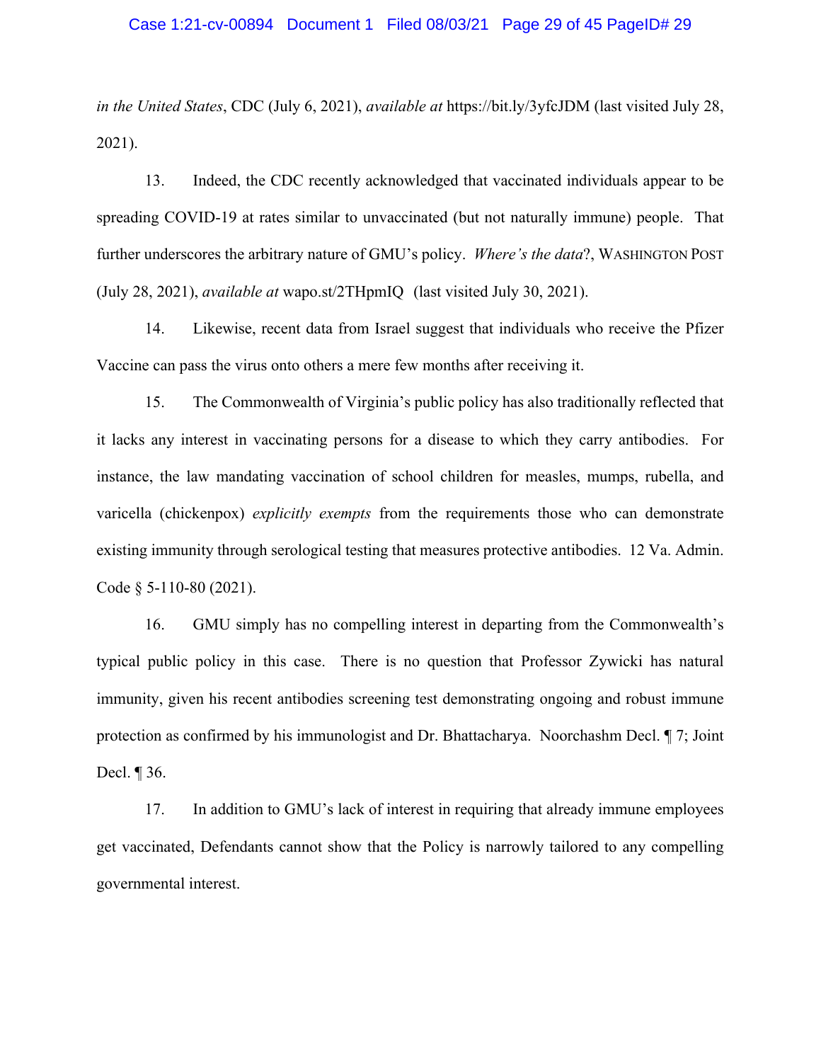*in the United States*, CDC (July 6, 2021), *available at* https://bit.ly/3yfcJDM (last visited July 28, 2021).

13. Indeed, the CDC recently acknowledged that vaccinated individuals appear to be spreading COVID-19 at rates similar to unvaccinated (but not naturally immune) people. That further underscores the arbitrary nature of GMU's policy. *Where's the data*?, WASHINGTON POST (July 28, 2021), *available at* wapo.st/2THpmIQ (last visited July 30, 2021).

14. Likewise, recent data from Israel suggest that individuals who receive the Pfizer Vaccine can pass the virus onto others a mere few months after receiving it.

15. The Commonwealth of Virginia's public policy has also traditionally reflected that it lacks any interest in vaccinating persons for a disease to which they carry antibodies. For instance, the law mandating vaccination of school children for measles, mumps, rubella, and varicella (chickenpox) *explicitly exempts* from the requirements those who can demonstrate existing immunity through serological testing that measures protective antibodies. 12 Va. Admin. Code § 5-110-80 (2021).

16. GMU simply has no compelling interest in departing from the Commonwealth's typical public policy in this case. There is no question that Professor Zywicki has natural immunity, given his recent antibodies screening test demonstrating ongoing and robust immune protection as confirmed by his immunologist and Dr. Bhattacharya. Noorchashm Decl. ¶ 7; Joint Decl. ¶ 36.

17. In addition to GMU's lack of interest in requiring that already immune employees get vaccinated, Defendants cannot show that the Policy is narrowly tailored to any compelling governmental interest.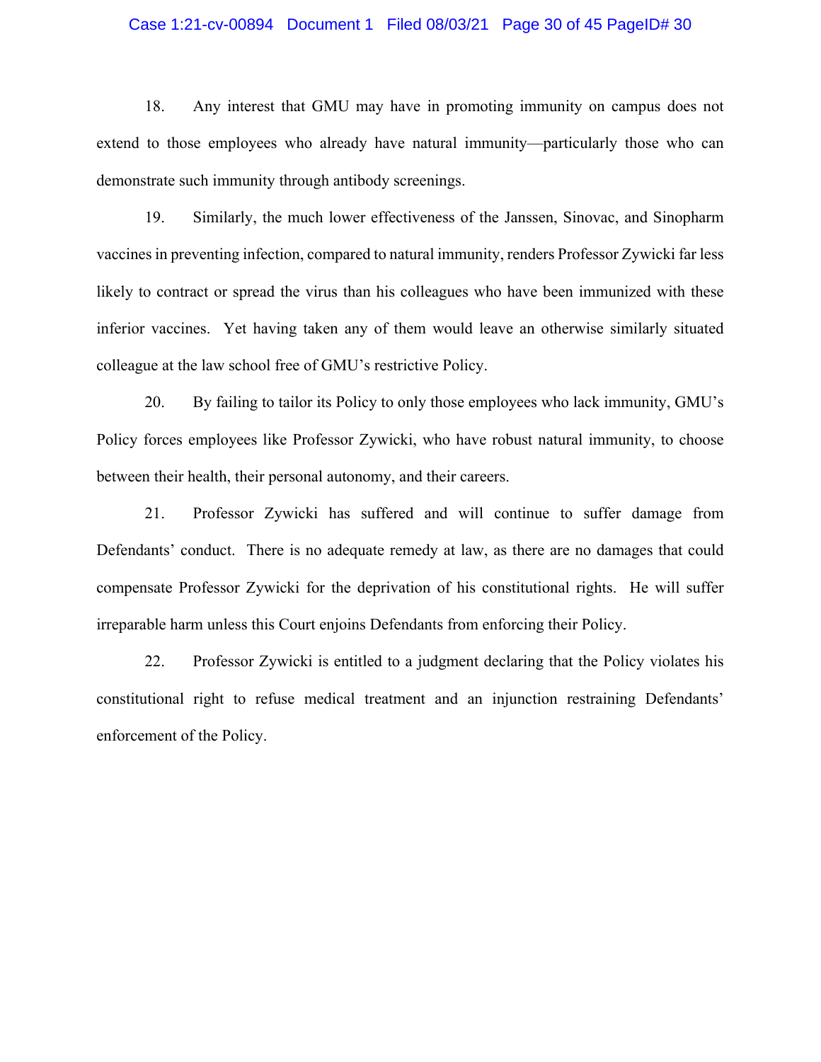### Case 1:21-cv-00894 Document 1 Filed 08/03/21 Page 30 of 45 PageID# 30

18. Any interest that GMU may have in promoting immunity on campus does not extend to those employees who already have natural immunity—particularly those who can demonstrate such immunity through antibody screenings.

19. Similarly, the much lower effectiveness of the Janssen, Sinovac, and Sinopharm vaccines in preventing infection, compared to natural immunity, renders Professor Zywicki far less likely to contract or spread the virus than his colleagues who have been immunized with these inferior vaccines. Yet having taken any of them would leave an otherwise similarly situated colleague at the law school free of GMU's restrictive Policy.

20. By failing to tailor its Policy to only those employees who lack immunity, GMU's Policy forces employees like Professor Zywicki, who have robust natural immunity, to choose between their health, their personal autonomy, and their careers.

21. Professor Zywicki has suffered and will continue to suffer damage from Defendants' conduct. There is no adequate remedy at law, as there are no damages that could compensate Professor Zywicki for the deprivation of his constitutional rights. He will suffer irreparable harm unless this Court enjoins Defendants from enforcing their Policy.

22. Professor Zywicki is entitled to a judgment declaring that the Policy violates his constitutional right to refuse medical treatment and an injunction restraining Defendants' enforcement of the Policy.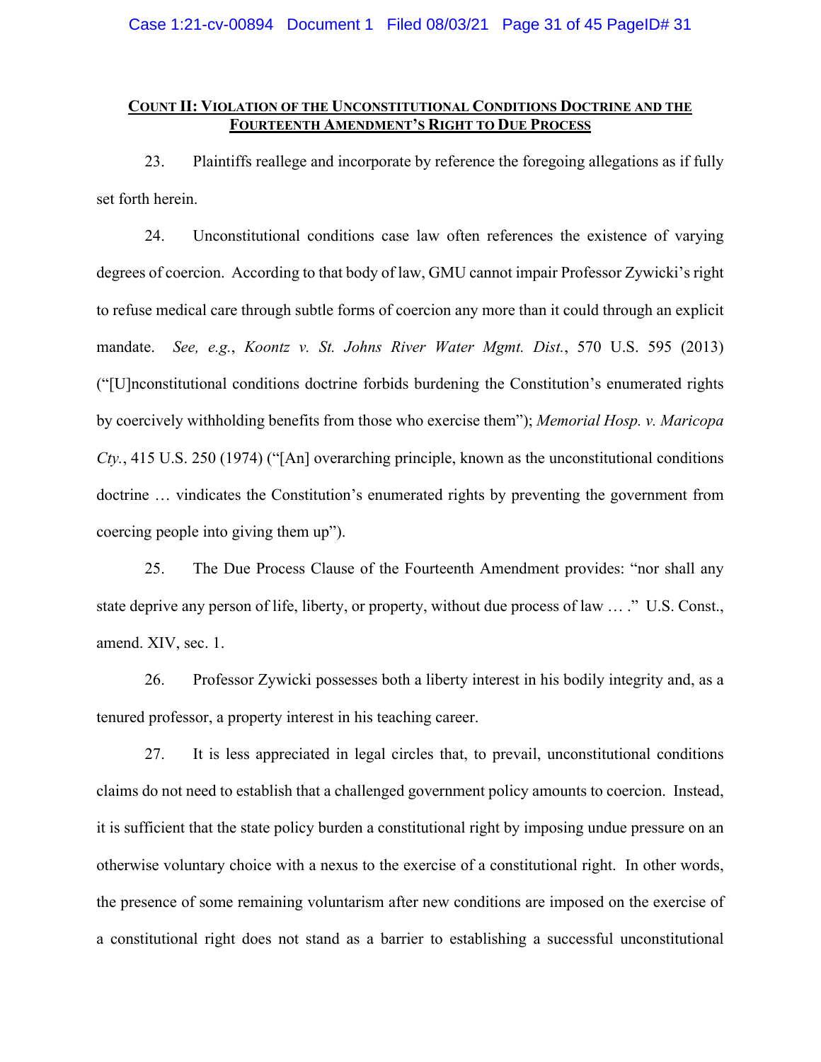# **COUNT II: VIOLATION OF THE UNCONSTITUTIONAL CONDITIONS DOCTRINE AND THE FOURTEENTH AMENDMENT'S RIGHT TO DUE PROCESS**

23. Plaintiffs reallege and incorporate by reference the foregoing allegations as if fully set forth herein.

24. Unconstitutional conditions case law often references the existence of varying degrees of coercion. According to that body of law, GMU cannot impair Professor Zywicki's right to refuse medical care through subtle forms of coercion any more than it could through an explicit mandate. *See, e.g.*, *Koontz v. St. Johns River Water Mgmt. Dist.*, 570 U.S. 595 (2013) ("[U]nconstitutional conditions doctrine forbids burdening the Constitution's enumerated rights by coercively withholding benefits from those who exercise them"); *Memorial Hosp. v. Maricopa Cty.*, 415 U.S. 250 (1974) ("[An] overarching principle, known as the unconstitutional conditions doctrine … vindicates the Constitution's enumerated rights by preventing the government from coercing people into giving them up").

25. The Due Process Clause of the Fourteenth Amendment provides: "nor shall any state deprive any person of life, liberty, or property, without due process of law … ." U.S. Const., amend. XIV, sec. 1.

26. Professor Zywicki possesses both a liberty interest in his bodily integrity and, as a tenured professor, a property interest in his teaching career.

27. It is less appreciated in legal circles that, to prevail, unconstitutional conditions claims do not need to establish that a challenged government policy amounts to coercion. Instead, it is sufficient that the state policy burden a constitutional right by imposing undue pressure on an otherwise voluntary choice with a nexus to the exercise of a constitutional right. In other words, the presence of some remaining voluntarism after new conditions are imposed on the exercise of a constitutional right does not stand as a barrier to establishing a successful unconstitutional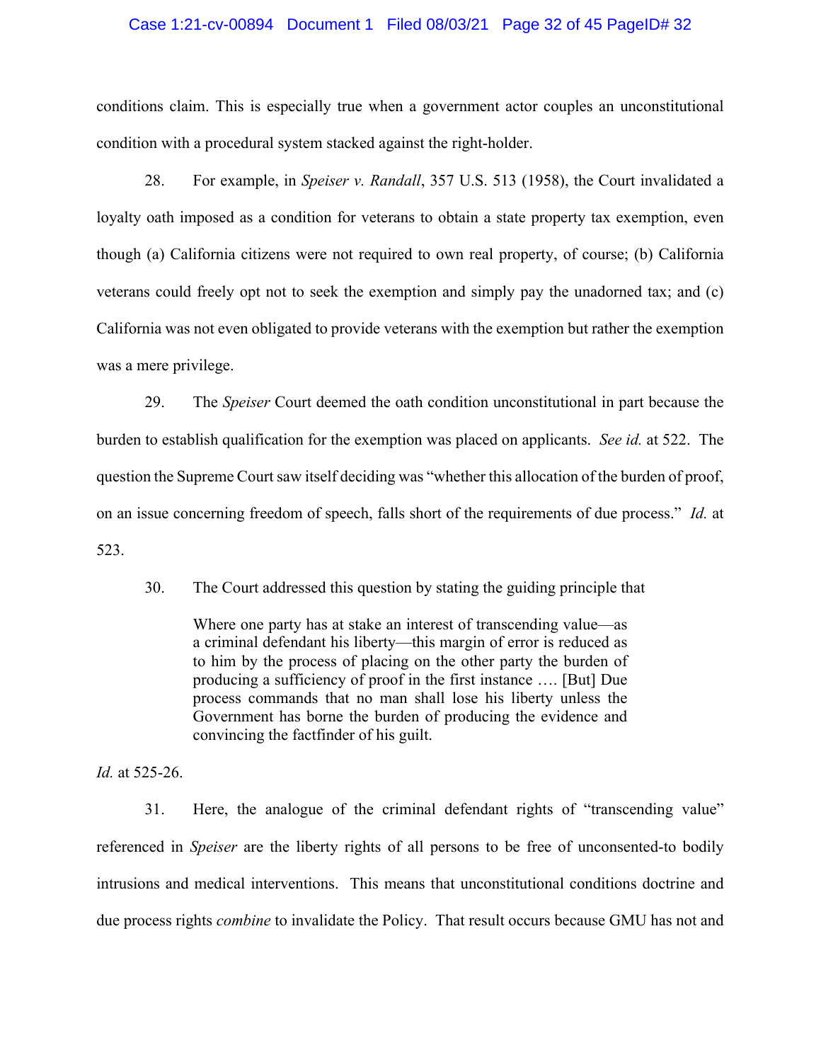### Case 1:21-cv-00894 Document 1 Filed 08/03/21 Page 32 of 45 PageID# 32

conditions claim. This is especially true when a government actor couples an unconstitutional condition with a procedural system stacked against the right-holder.

28. For example, in *Speiser v. Randall*, 357 U.S. 513 (1958), the Court invalidated a loyalty oath imposed as a condition for veterans to obtain a state property tax exemption, even though (a) California citizens were not required to own real property, of course; (b) California veterans could freely opt not to seek the exemption and simply pay the unadorned tax; and (c) California was not even obligated to provide veterans with the exemption but rather the exemption was a mere privilege.

29. The *Speiser* Court deemed the oath condition unconstitutional in part because the burden to establish qualification for the exemption was placed on applicants. *See id.* at 522. The question the Supreme Court saw itself deciding was "whether this allocation of the burden of proof, on an issue concerning freedom of speech, falls short of the requirements of due process." *Id.* at 523.

30. The Court addressed this question by stating the guiding principle that

Where one party has at stake an interest of transcending value—as a criminal defendant his liberty—this margin of error is reduced as to him by the process of placing on the other party the burden of producing a sufficiency of proof in the first instance …. [But] Due process commands that no man shall lose his liberty unless the Government has borne the burden of producing the evidence and convincing the factfinder of his guilt.

*Id.* at 525-26.

31. Here, the analogue of the criminal defendant rights of "transcending value" referenced in *Speiser* are the liberty rights of all persons to be free of unconsented-to bodily intrusions and medical interventions. This means that unconstitutional conditions doctrine and due process rights *combine* to invalidate the Policy. That result occurs because GMU has not and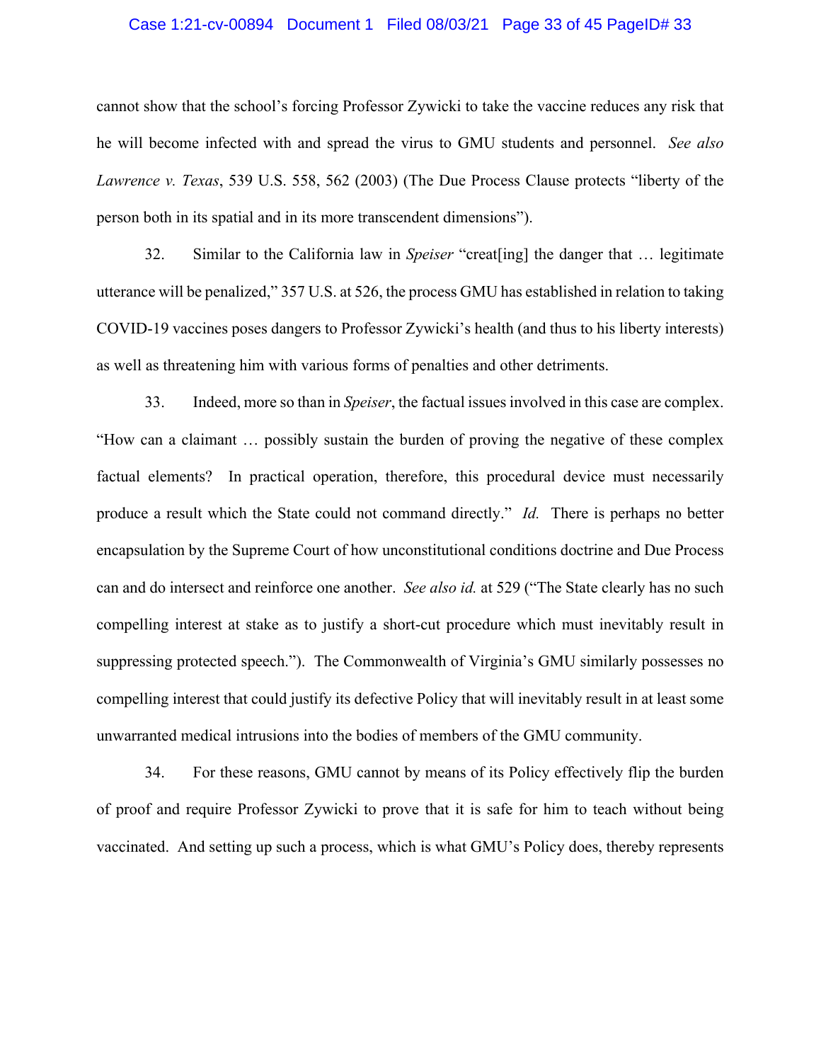## Case 1:21-cv-00894 Document 1 Filed 08/03/21 Page 33 of 45 PageID# 33

cannot show that the school's forcing Professor Zywicki to take the vaccine reduces any risk that he will become infected with and spread the virus to GMU students and personnel. *See also Lawrence v. Texas*, 539 U.S. 558, 562 (2003) (The Due Process Clause protects "liberty of the person both in its spatial and in its more transcendent dimensions").

32. Similar to the California law in *Speiser* "creat[ing] the danger that … legitimate utterance will be penalized," 357 U.S. at 526, the process GMU has established in relation to taking COVID-19 vaccines poses dangers to Professor Zywicki's health (and thus to his liberty interests) as well as threatening him with various forms of penalties and other detriments.

33. Indeed, more so than in *Speiser*, the factual issues involved in this case are complex. "How can a claimant … possibly sustain the burden of proving the negative of these complex factual elements? In practical operation, therefore, this procedural device must necessarily produce a result which the State could not command directly." *Id.* There is perhaps no better encapsulation by the Supreme Court of how unconstitutional conditions doctrine and Due Process can and do intersect and reinforce one another. *See also id.* at 529 ("The State clearly has no such compelling interest at stake as to justify a short-cut procedure which must inevitably result in suppressing protected speech."). The Commonwealth of Virginia's GMU similarly possesses no compelling interest that could justify its defective Policy that will inevitably result in at least some unwarranted medical intrusions into the bodies of members of the GMU community.

34. For these reasons, GMU cannot by means of its Policy effectively flip the burden of proof and require Professor Zywicki to prove that it is safe for him to teach without being vaccinated. And setting up such a process, which is what GMU's Policy does, thereby represents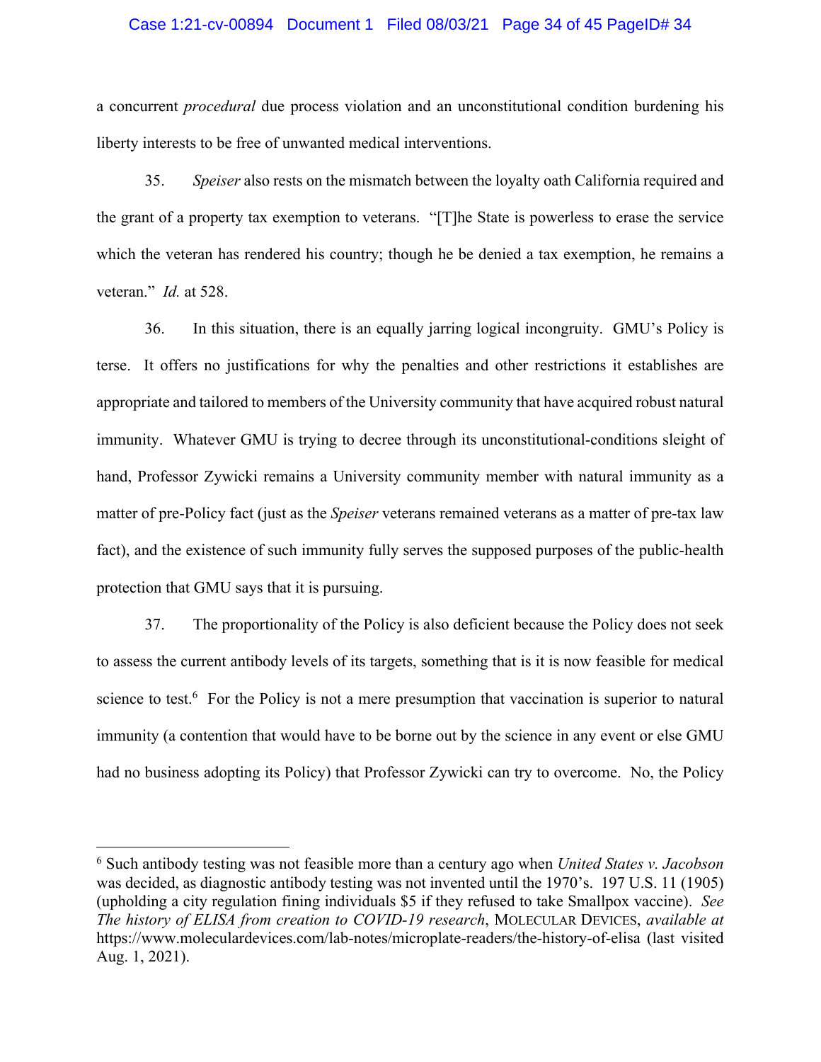#### Case 1:21-cv-00894 Document 1 Filed 08/03/21 Page 34 of 45 PageID# 34

a concurrent *procedural* due process violation and an unconstitutional condition burdening his liberty interests to be free of unwanted medical interventions.

35. *Speiser* also rests on the mismatch between the loyalty oath California required and the grant of a property tax exemption to veterans. "[T]he State is powerless to erase the service which the veteran has rendered his country; though he be denied a tax exemption, he remains a veteran." *Id.* at 528.

36. In this situation, there is an equally jarring logical incongruity. GMU's Policy is terse. It offers no justifications for why the penalties and other restrictions it establishes are appropriate and tailored to members of the University community that have acquired robust natural immunity. Whatever GMU is trying to decree through its unconstitutional-conditions sleight of hand, Professor Zywicki remains a University community member with natural immunity as a matter of pre-Policy fact (just as the *Speiser* veterans remained veterans as a matter of pre-tax law fact), and the existence of such immunity fully serves the supposed purposes of the public-health protection that GMU says that it is pursuing.

37. The proportionality of the Policy is also deficient because the Policy does not seek to assess the current antibody levels of its targets, something that is it is now feasible for medical science to test.<sup>6</sup> For the Policy is not a mere presumption that vaccination is superior to natural immunity (a contention that would have to be borne out by the science in any event or else GMU had no business adopting its Policy) that Professor Zywicki can try to overcome. No, the Policy

<sup>6</sup> Such antibody testing was not feasible more than a century ago when *United States v. Jacobson* was decided, as diagnostic antibody testing was not invented until the 1970's. 197 U.S. 11 (1905) (upholding a city regulation fining individuals \$5 if they refused to take Smallpox vaccine). *See The history of ELISA from creation to COVID-19 research*, MOLECULAR DEVICES, *available at*  https://www.moleculardevices.com/lab-notes/microplate-readers/the-history-of-elisa (last visited Aug. 1, 2021).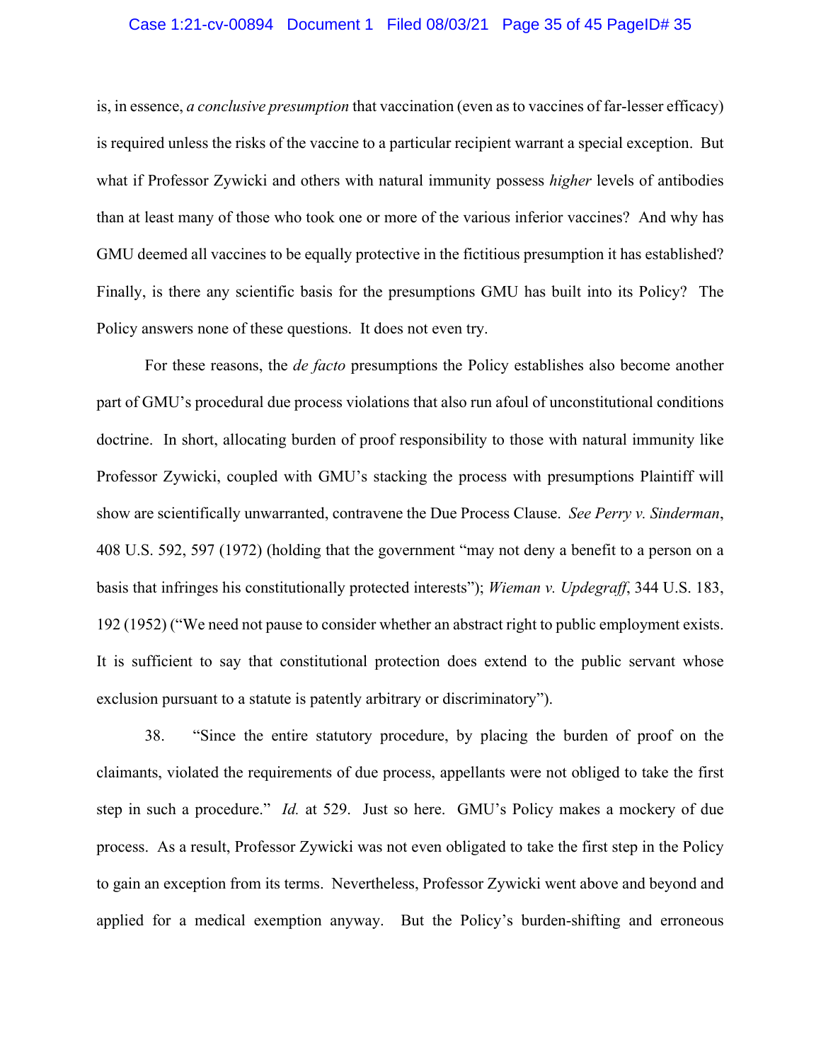#### Case 1:21-cv-00894 Document 1 Filed 08/03/21 Page 35 of 45 PageID# 35

is, in essence, *a conclusive presumption* that vaccination (even as to vaccines of far-lesser efficacy) is required unless the risks of the vaccine to a particular recipient warrant a special exception. But what if Professor Zywicki and others with natural immunity possess *higher* levels of antibodies than at least many of those who took one or more of the various inferior vaccines? And why has GMU deemed all vaccines to be equally protective in the fictitious presumption it has established? Finally, is there any scientific basis for the presumptions GMU has built into its Policy? The Policy answers none of these questions. It does not even try.

For these reasons, the *de facto* presumptions the Policy establishes also become another part of GMU's procedural due process violations that also run afoul of unconstitutional conditions doctrine. In short, allocating burden of proof responsibility to those with natural immunity like Professor Zywicki, coupled with GMU's stacking the process with presumptions Plaintiff will show are scientifically unwarranted, contravene the Due Process Clause. *See Perry v. Sinderman*, 408 U.S. 592, 597 (1972) (holding that the government "may not deny a benefit to a person on a basis that infringes his constitutionally protected interests"); *Wieman v. Updegraff*, 344 U.S. 183, 192 (1952) ("We need not pause to consider whether an abstract right to public employment exists. It is sufficient to say that constitutional protection does extend to the public servant whose exclusion pursuant to a statute is patently arbitrary or discriminatory").

38. "Since the entire statutory procedure, by placing the burden of proof on the claimants, violated the requirements of due process, appellants were not obliged to take the first step in such a procedure." *Id.* at 529. Just so here. GMU's Policy makes a mockery of due process. As a result, Professor Zywicki was not even obligated to take the first step in the Policy to gain an exception from its terms. Nevertheless, Professor Zywicki went above and beyond and applied for a medical exemption anyway. But the Policy's burden-shifting and erroneous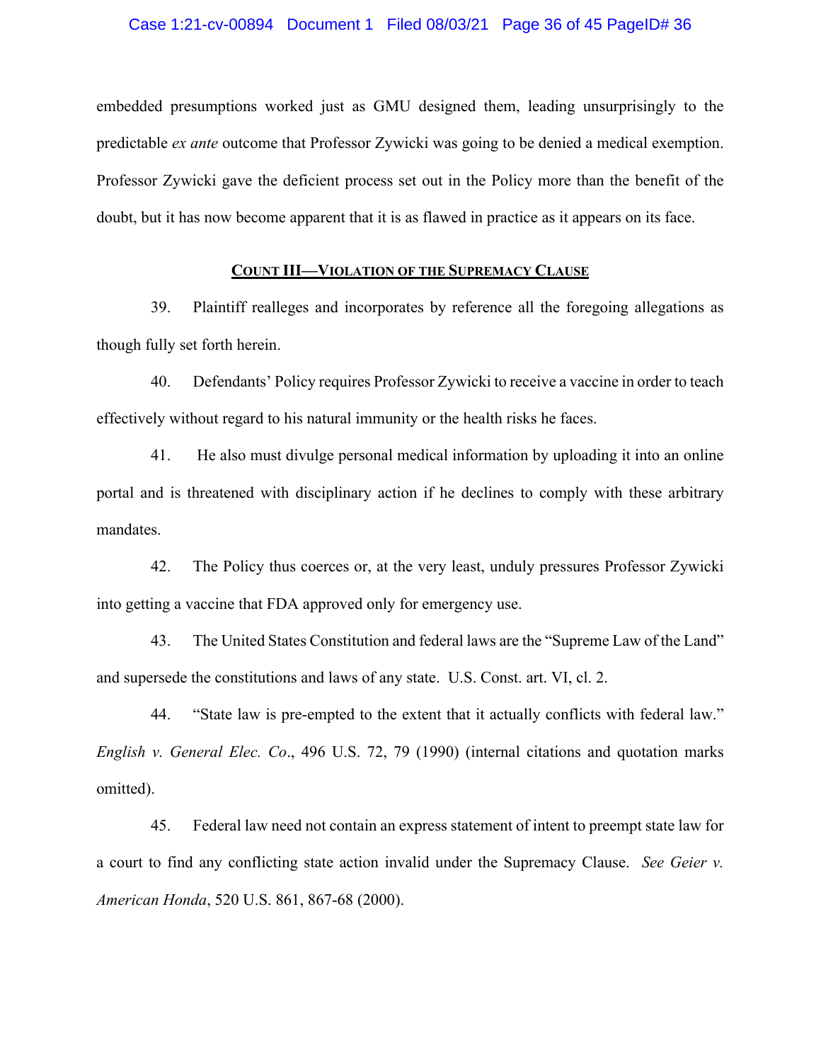embedded presumptions worked just as GMU designed them, leading unsurprisingly to the predictable *ex ante* outcome that Professor Zywicki was going to be denied a medical exemption. Professor Zywicki gave the deficient process set out in the Policy more than the benefit of the doubt, but it has now become apparent that it is as flawed in practice as it appears on its face.

# **COUNT III—VIOLATION OF THE SUPREMACY CLAUSE**

39. Plaintiff realleges and incorporates by reference all the foregoing allegations as though fully set forth herein.

40. Defendants' Policy requires Professor Zywicki to receive a vaccine in order to teach effectively without regard to his natural immunity or the health risks he faces.

41. He also must divulge personal medical information by uploading it into an online portal and is threatened with disciplinary action if he declines to comply with these arbitrary mandates.

42. The Policy thus coerces or, at the very least, unduly pressures Professor Zywicki into getting a vaccine that FDA approved only for emergency use.

43. The United States Constitution and federal laws are the "Supreme Law of the Land" and supersede the constitutions and laws of any state. U.S. Const. art. VI, cl. 2.

44. "State law is pre-empted to the extent that it actually conflicts with federal law." *English v. General Elec. Co*., 496 U.S. 72, 79 (1990) (internal citations and quotation marks omitted).

45. Federal law need not contain an express statement of intent to preempt state law for a court to find any conflicting state action invalid under the Supremacy Clause. *See Geier v. American Honda*, 520 U.S. 861, 867-68 (2000).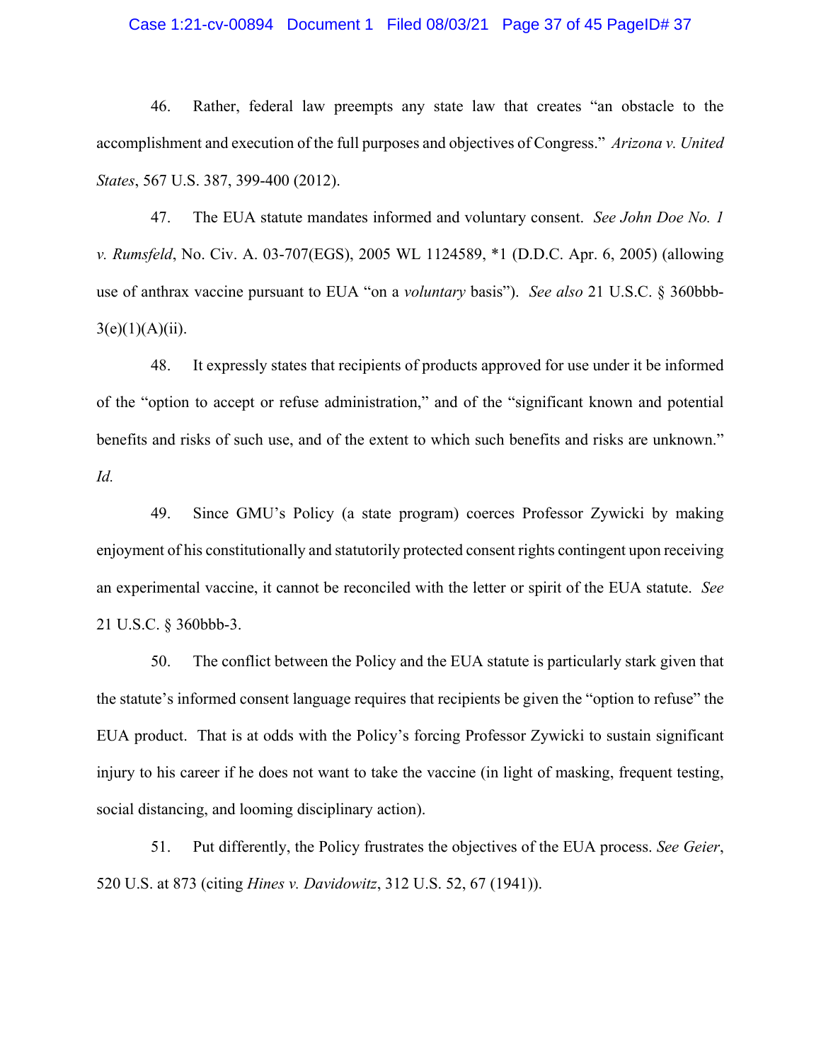# Case 1:21-cv-00894 Document 1 Filed 08/03/21 Page 37 of 45 PageID# 37

46. Rather, federal law preempts any state law that creates "an obstacle to the accomplishment and execution of the full purposes and objectives of Congress." *Arizona v. United States*, 567 U.S. 387, 399-400 (2012).

47. The EUA statute mandates informed and voluntary consent. *See John Doe No. 1 v. Rumsfeld*, No. Civ. A. 03-707(EGS), 2005 WL 1124589, \*1 (D.D.C. Apr. 6, 2005) (allowing use of anthrax vaccine pursuant to EUA "on a *voluntary* basis"). *See also* 21 U.S.C. § 360bbb- $3(e)(1)(A)(ii)$ .

48. It expressly states that recipients of products approved for use under it be informed of the "option to accept or refuse administration," and of the "significant known and potential benefits and risks of such use, and of the extent to which such benefits and risks are unknown." *Id.*

49. Since GMU's Policy (a state program) coerces Professor Zywicki by making enjoyment of his constitutionally and statutorily protected consent rights contingent upon receiving an experimental vaccine, it cannot be reconciled with the letter or spirit of the EUA statute. *See*  21 U.S.C. § 360bbb-3.

50. The conflict between the Policy and the EUA statute is particularly stark given that the statute's informed consent language requires that recipients be given the "option to refuse" the EUA product. That is at odds with the Policy's forcing Professor Zywicki to sustain significant injury to his career if he does not want to take the vaccine (in light of masking, frequent testing, social distancing, and looming disciplinary action).

51. Put differently, the Policy frustrates the objectives of the EUA process. *See Geier*, 520 U.S. at 873 (citing *Hines v. Davidowitz*, 312 U.S. 52, 67 (1941)).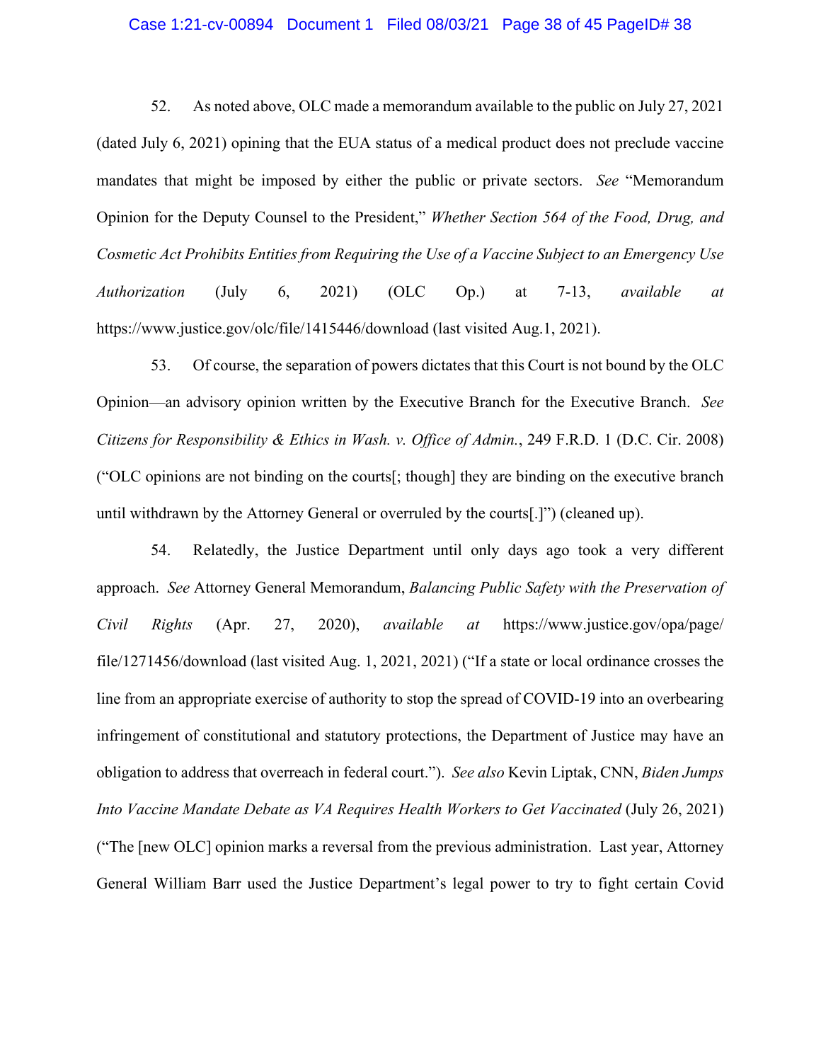#### Case 1:21-cv-00894 Document 1 Filed 08/03/21 Page 38 of 45 PageID# 38

52. As noted above, OLC made a memorandum available to the public on July 27, 2021 (dated July 6, 2021) opining that the EUA status of a medical product does not preclude vaccine mandates that might be imposed by either the public or private sectors. *See* "Memorandum Opinion for the Deputy Counsel to the President," *Whether Section 564 of the Food, Drug, and Cosmetic Act Prohibits Entities from Requiring the Use of a Vaccine Subject to an Emergency Use Authorization* (July 6, 2021) (OLC Op.) at 7-13, *available at*  https://www.justice.gov/olc/file/1415446/download (last visited Aug.1, 2021).

53. Of course, the separation of powers dictates that this Court is not bound by the OLC Opinion—an advisory opinion written by the Executive Branch for the Executive Branch. *See Citizens for Responsibility & Ethics in Wash. v. Office of Admin.*, 249 F.R.D. 1 (D.C. Cir. 2008) ("OLC opinions are not binding on the courts[; though] they are binding on the executive branch until withdrawn by the Attorney General or overruled by the courts[.]") (cleaned up).

54. Relatedly, the Justice Department until only days ago took a very different approach. *See* Attorney General Memorandum, *Balancing Public Safety with the Preservation of Civil Rights* (Apr. 27, 2020), *available at* https://www.justice.gov/opa/page/ file/1271456/download (last visited Aug. 1, 2021, 2021) ("If a state or local ordinance crosses the line from an appropriate exercise of authority to stop the spread of COVID-19 into an overbearing infringement of constitutional and statutory protections, the Department of Justice may have an obligation to address that overreach in federal court."). *See also* Kevin Liptak, CNN, *Biden Jumps Into Vaccine Mandate Debate as VA Requires Health Workers to Get Vaccinated (July 26, 2021)* ("The [new OLC] opinion marks a reversal from the previous administration. Last year, Attorney General William Barr used the Justice Department's legal power to try to fight certain Covid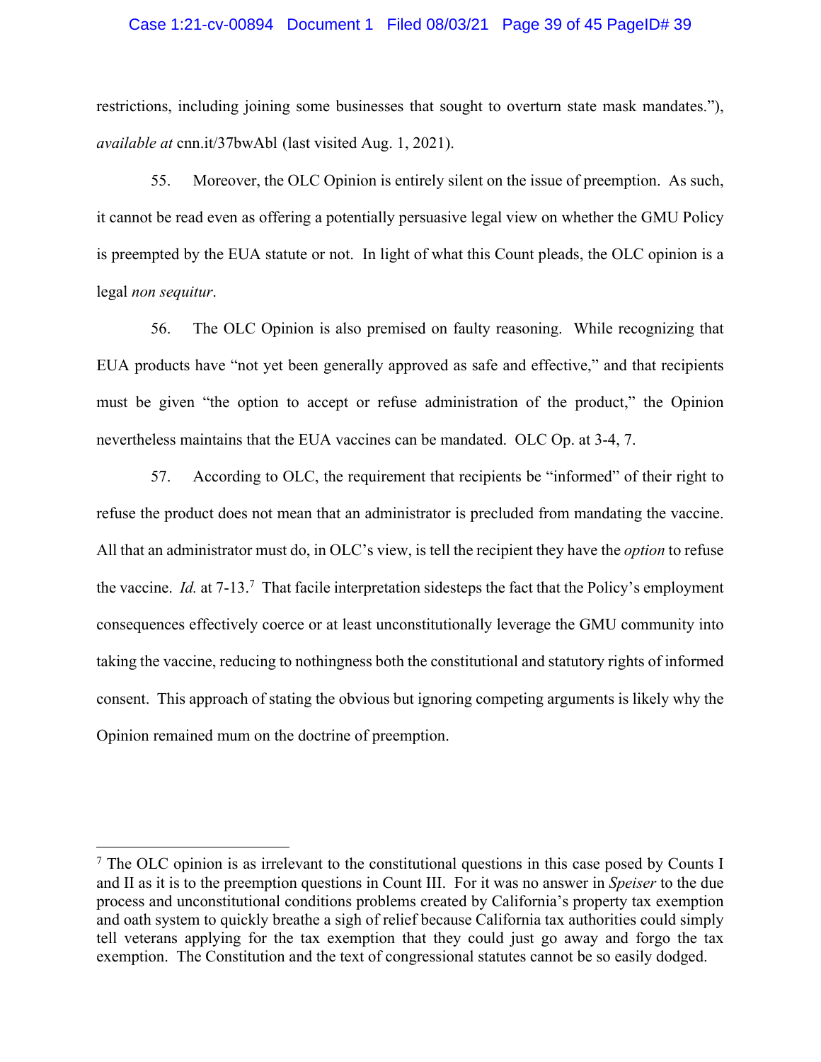### Case 1:21-cv-00894 Document 1 Filed 08/03/21 Page 39 of 45 PageID# 39

restrictions, including joining some businesses that sought to overturn state mask mandates."), *available at* cnn.it/37bwAbl (last visited Aug. 1, 2021).

55. Moreover, the OLC Opinion is entirely silent on the issue of preemption. As such, it cannot be read even as offering a potentially persuasive legal view on whether the GMU Policy is preempted by the EUA statute or not. In light of what this Count pleads, the OLC opinion is a legal *non sequitur*.

56. The OLC Opinion is also premised on faulty reasoning. While recognizing that EUA products have "not yet been generally approved as safe and effective," and that recipients must be given "the option to accept or refuse administration of the product," the Opinion nevertheless maintains that the EUA vaccines can be mandated. OLC Op. at 3-4, 7.

57. According to OLC, the requirement that recipients be "informed" of their right to refuse the product does not mean that an administrator is precluded from mandating the vaccine. All that an administrator must do, in OLC's view, is tell the recipient they have the *option* to refuse the vaccine. *Id.* at 7-13.<sup>7</sup> That facile interpretation sidesteps the fact that the Policy's employment consequences effectively coerce or at least unconstitutionally leverage the GMU community into taking the vaccine, reducing to nothingness both the constitutional and statutory rights of informed consent. This approach of stating the obvious but ignoring competing arguments is likely why the Opinion remained mum on the doctrine of preemption.

<sup>&</sup>lt;sup>7</sup> The OLC opinion is as irrelevant to the constitutional questions in this case posed by Counts I and II as it is to the preemption questions in Count III. For it was no answer in *Speiser* to the due process and unconstitutional conditions problems created by California's property tax exemption and oath system to quickly breathe a sigh of relief because California tax authorities could simply tell veterans applying for the tax exemption that they could just go away and forgo the tax exemption. The Constitution and the text of congressional statutes cannot be so easily dodged.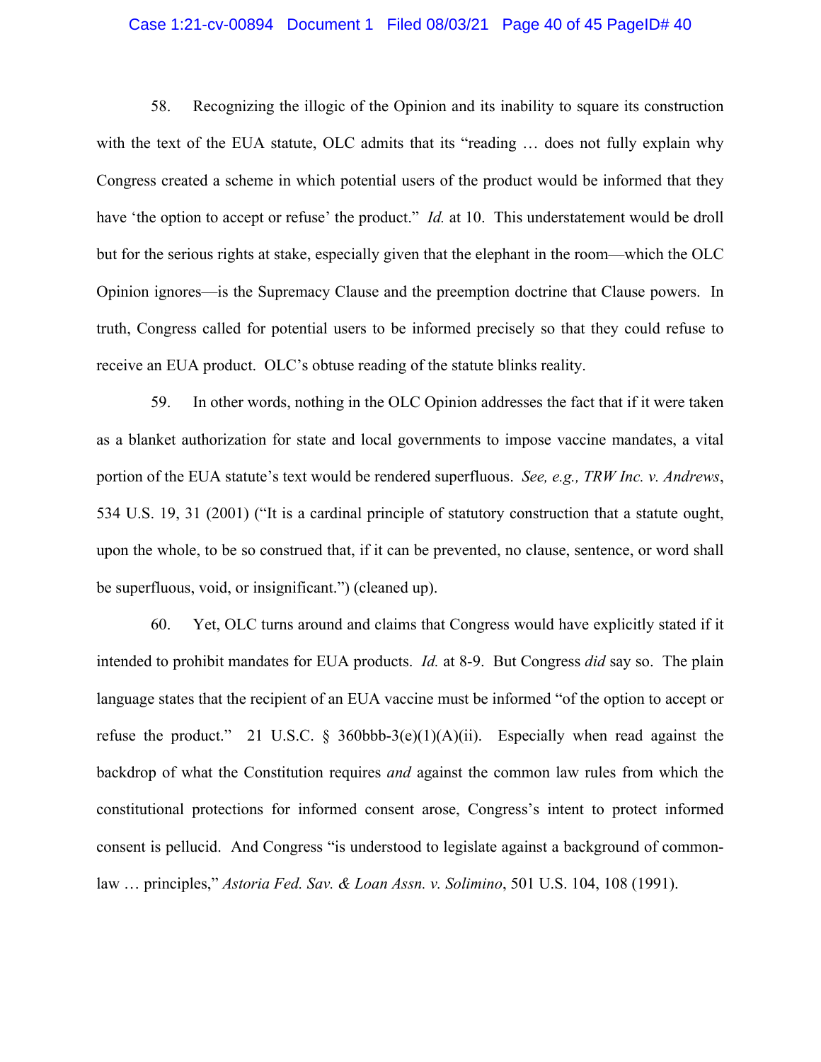### Case 1:21-cv-00894 Document 1 Filed 08/03/21 Page 40 of 45 PageID# 40

58. Recognizing the illogic of the Opinion and its inability to square its construction with the text of the EUA statute, OLC admits that its "reading ... does not fully explain why Congress created a scheme in which potential users of the product would be informed that they have 'the option to accept or refuse' the product." *Id.* at 10. This understatement would be droll but for the serious rights at stake, especially given that the elephant in the room—which the OLC Opinion ignores—is the Supremacy Clause and the preemption doctrine that Clause powers. In truth, Congress called for potential users to be informed precisely so that they could refuse to receive an EUA product. OLC's obtuse reading of the statute blinks reality.

59. In other words, nothing in the OLC Opinion addresses the fact that if it were taken as a blanket authorization for state and local governments to impose vaccine mandates, a vital portion of the EUA statute's text would be rendered superfluous. *See, e.g., TRW Inc. v. Andrews*, 534 U.S. 19, 31 (2001) ("It is a cardinal principle of statutory construction that a statute ought, upon the whole, to be so construed that, if it can be prevented, no clause, sentence, or word shall be superfluous, void, or insignificant.") (cleaned up).

60. Yet, OLC turns around and claims that Congress would have explicitly stated if it intended to prohibit mandates for EUA products. *Id.* at 8-9. But Congress *did* say so. The plain language states that the recipient of an EUA vaccine must be informed "of the option to accept or refuse the product." 21 U.S.C. § 360bbb-3(e)(1)(A)(ii). Especially when read against the backdrop of what the Constitution requires *and* against the common law rules from which the constitutional protections for informed consent arose, Congress's intent to protect informed consent is pellucid. And Congress "is understood to legislate against a background of commonlaw … principles," *Astoria Fed. Sav. & Loan Assn. v. Solimino*, 501 U.S. 104, 108 (1991).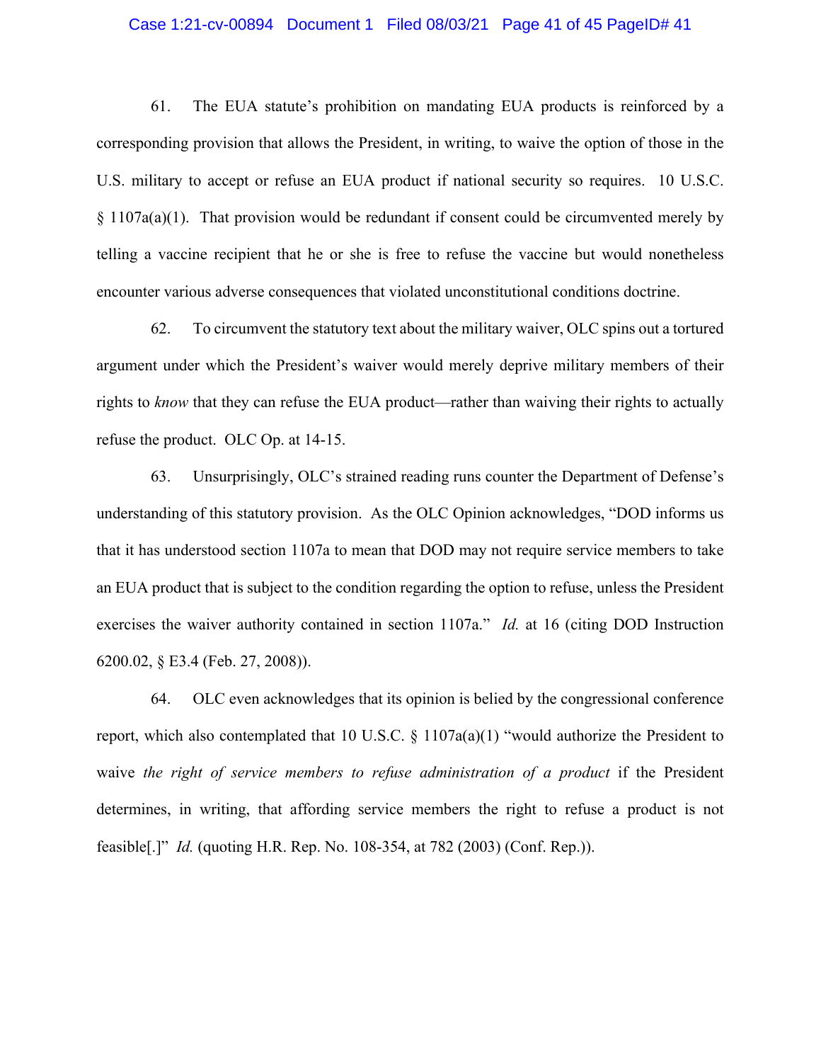#### Case 1:21-cv-00894 Document 1 Filed 08/03/21 Page 41 of 45 PageID# 41

61. The EUA statute's prohibition on mandating EUA products is reinforced by a corresponding provision that allows the President, in writing, to waive the option of those in the U.S. military to accept or refuse an EUA product if national security so requires. 10 U.S.C.  $§ 1107a(a)(1)$ . That provision would be redundant if consent could be circumvented merely by telling a vaccine recipient that he or she is free to refuse the vaccine but would nonetheless encounter various adverse consequences that violated unconstitutional conditions doctrine.

62. To circumvent the statutory text about the military waiver, OLC spins out a tortured argument under which the President's waiver would merely deprive military members of their rights to *know* that they can refuse the EUA product—rather than waiving their rights to actually refuse the product. OLC Op. at 14-15.

63. Unsurprisingly, OLC's strained reading runs counter the Department of Defense's understanding of this statutory provision. As the OLC Opinion acknowledges, "DOD informs us that it has understood section 1107a to mean that DOD may not require service members to take an EUA product that is subject to the condition regarding the option to refuse, unless the President exercises the waiver authority contained in section 1107a." *Id.* at 16 (citing DOD Instruction 6200.02, § E3.4 (Feb. 27, 2008)).

64. OLC even acknowledges that its opinion is belied by the congressional conference report, which also contemplated that 10 U.S.C. § 1107a(a)(1) "would authorize the President to waive *the right of service members to refuse administration of a product* if the President determines, in writing, that affording service members the right to refuse a product is not feasible[.]" *Id.* (quoting H.R. Rep. No. 108-354, at 782 (2003) (Conf. Rep.)).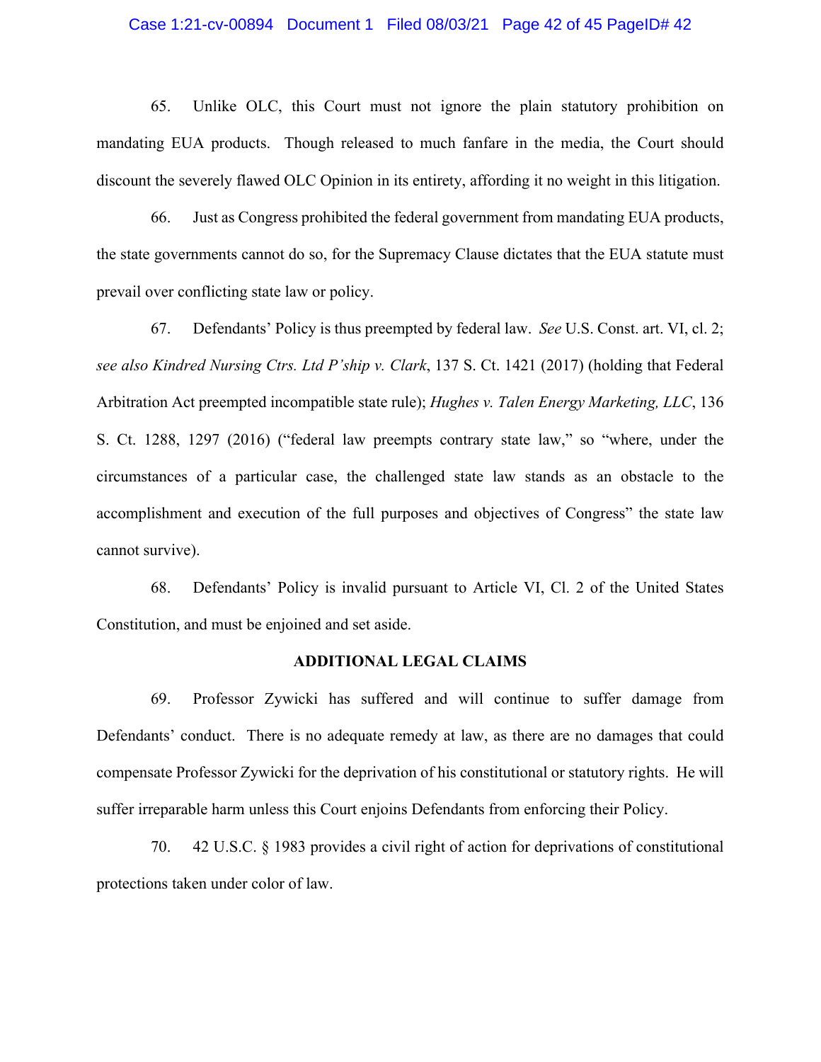#### Case 1:21-cv-00894 Document 1 Filed 08/03/21 Page 42 of 45 PageID# 42

65. Unlike OLC, this Court must not ignore the plain statutory prohibition on mandating EUA products. Though released to much fanfare in the media, the Court should discount the severely flawed OLC Opinion in its entirety, affording it no weight in this litigation.

66. Just as Congress prohibited the federal government from mandating EUA products, the state governments cannot do so, for the Supremacy Clause dictates that the EUA statute must prevail over conflicting state law or policy.

67. Defendants' Policy is thus preempted by federal law. *See* U.S. Const. art. VI, cl. 2; *see also Kindred Nursing Ctrs. Ltd P'ship v. Clark*, 137 S. Ct. 1421 (2017) (holding that Federal Arbitration Act preempted incompatible state rule); *Hughes v. Talen Energy Marketing, LLC*, 136 S. Ct. 1288, 1297 (2016) ("federal law preempts contrary state law," so "where, under the circumstances of a particular case, the challenged state law stands as an obstacle to the accomplishment and execution of the full purposes and objectives of Congress" the state law cannot survive).

68. Defendants' Policy is invalid pursuant to Article VI, Cl. 2 of the United States Constitution, and must be enjoined and set aside.

# **ADDITIONAL LEGAL CLAIMS**

69. Professor Zywicki has suffered and will continue to suffer damage from Defendants' conduct. There is no adequate remedy at law, as there are no damages that could compensate Professor Zywicki for the deprivation of his constitutional or statutory rights. He will suffer irreparable harm unless this Court enjoins Defendants from enforcing their Policy.

70. 42 U.S.C. § 1983 provides a civil right of action for deprivations of constitutional protections taken under color of law.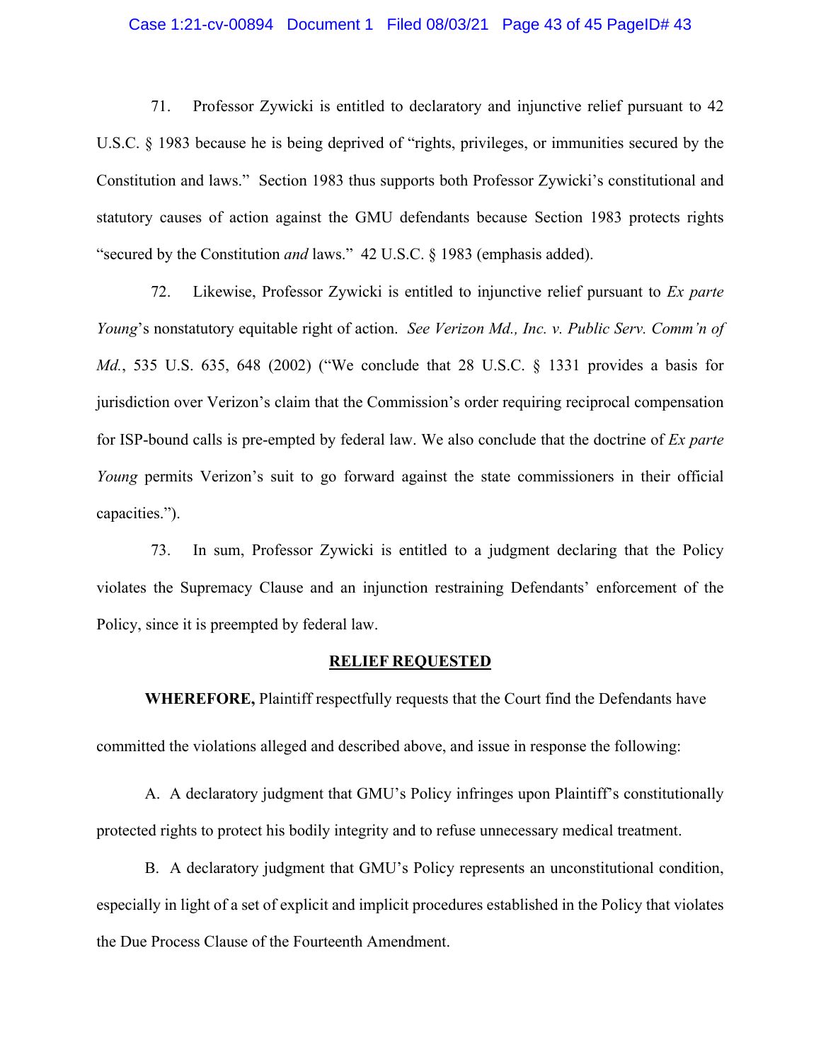#### Case 1:21-cv-00894 Document 1 Filed 08/03/21 Page 43 of 45 PageID# 43

71. Professor Zywicki is entitled to declaratory and injunctive relief pursuant to 42 U.S.C. § 1983 because he is being deprived of "rights, privileges, or immunities secured by the Constitution and laws." Section 1983 thus supports both Professor Zywicki's constitutional and statutory causes of action against the GMU defendants because Section 1983 protects rights "secured by the Constitution *and* laws." 42 U.S.C. § 1983 (emphasis added).

72. Likewise, Professor Zywicki is entitled to injunctive relief pursuant to *Ex parte Young*'s nonstatutory equitable right of action. *See Verizon Md., Inc. v. Public Serv. Comm'n of Md.*, 535 U.S. 635, 648 (2002) ("We conclude that 28 U.S.C. § 1331 provides a basis for jurisdiction over Verizon's claim that the Commission's order requiring reciprocal compensation for ISP-bound calls is pre-empted by federal law. We also conclude that the doctrine of *Ex parte Young* permits Verizon's suit to go forward against the state commissioners in their official capacities.").

73. In sum, Professor Zywicki is entitled to a judgment declaring that the Policy violates the Supremacy Clause and an injunction restraining Defendants' enforcement of the Policy, since it is preempted by federal law.

#### **RELIEF REQUESTED**

**WHEREFORE,** Plaintiff respectfully requests that the Court find the Defendants have committed the violations alleged and described above, and issue in response the following:

A. A declaratory judgment that GMU's Policy infringes upon Plaintiff's constitutionally protected rights to protect his bodily integrity and to refuse unnecessary medical treatment.

B. A declaratory judgment that GMU's Policy represents an unconstitutional condition, especially in light of a set of explicit and implicit procedures established in the Policy that violates the Due Process Clause of the Fourteenth Amendment.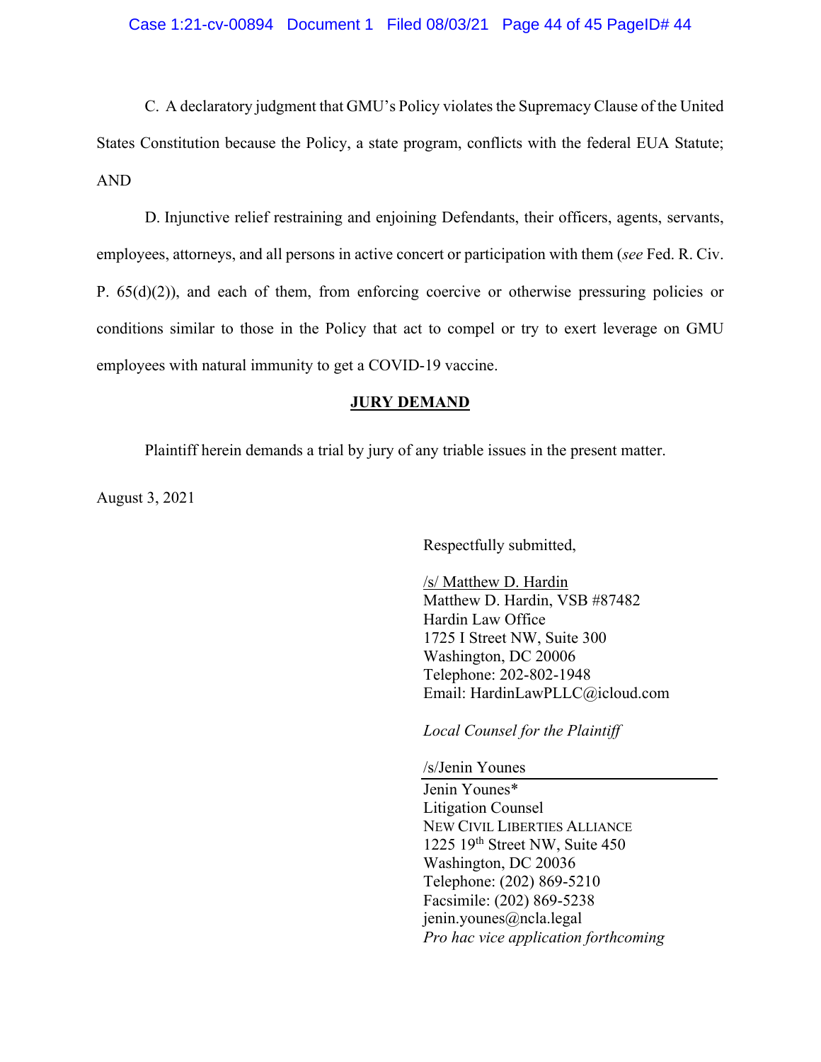C. A declaratory judgment that GMU's Policy violates the Supremacy Clause of the United States Constitution because the Policy, a state program, conflicts with the federal EUA Statute; AND

 D. Injunctive relief restraining and enjoining Defendants, their officers, agents, servants, employees, attorneys, and all persons in active concert or participation with them (*see* Fed. R. Civ. P.  $65(d)(2)$ ), and each of them, from enforcing coercive or otherwise pressuring policies or conditions similar to those in the Policy that act to compel or try to exert leverage on GMU employees with natural immunity to get a COVID-19 vaccine.

# **JURY DEMAND**

Plaintiff herein demands a trial by jury of any triable issues in the present matter.

August 3, 2021

Respectfully submitted,

/s/ Matthew D. Hardin Matthew D. Hardin, VSB #87482 Hardin Law Office 1725 I Street NW, Suite 300 Washington, DC 20006 Telephone: 202-802-1948 Email: HardinLawPLLC@icloud.com

*Local Counsel for the Plaintiff* 

/s/Jenin Younes

Jenin Younes\* Litigation Counsel NEW CIVIL LIBERTIES ALLIANCE 1225 19th Street NW, Suite 450 Washington, DC 20036 Telephone: (202) 869-5210 Facsimile: (202) 869-5238 jenin.younes@ncla.legal *Pro hac vice application forthcoming*